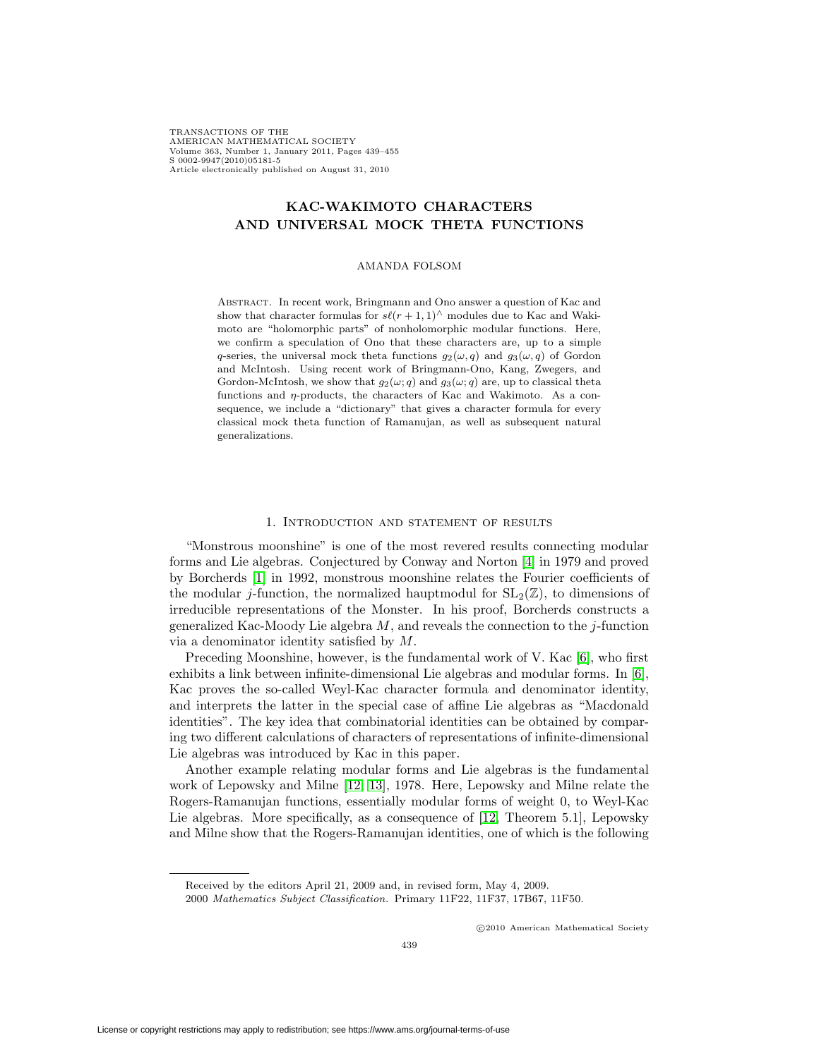TRANSACTIONS OF THE AMERICAN MATHEMATICAL SOCIETY Volume 363, Number 1, January 2011, Pages 439–455 S 0002-9947(2010)05181-5 Article electronically published on August 31, 2010

# **KAC-WAKIMOTO CHARACTERS AND UNIVERSAL MOCK THETA FUNCTIONS**

#### AMANDA FOLSOM

Abstract. In recent work, Bringmann and Ono answer a question of Kac and show that character formulas for  $s\ell(r+1,1)^\wedge$  modules due to Kac and Wakimoto are "holomorphic parts" of nonholomorphic modular functions. Here, we confirm a speculation of Ono that these characters are, up to a simple q-series, the universal mock theta functions  $g_2(\omega, q)$  and  $g_3(\omega, q)$  of Gordon and McIntosh. Using recent work of Bringmann-Ono, Kang, Zwegers, and Gordon-McIntosh, we show that  $g_2(\omega; q)$  and  $g_3(\omega; q)$  are, up to classical theta functions and η-products, the characters of Kac and Wakimoto. As a consequence, we include a "dictionary" that gives a character formula for every classical mock theta function of Ramanujan, as well as subsequent natural generalizations.

## 1. Introduction and statement of results

"Monstrous moonshine" is one of the most revered results connecting modular forms and Lie algebras. Conjectured by Conway and Norton [\[4\]](#page-15-0) in 1979 and proved by Borcherds [\[1\]](#page-15-1) in 1992, monstrous moonshine relates the Fourier coefficients of the modular j-function, the normalized hauptmodul for  $SL_2(\mathbb{Z})$ , to dimensions of irreducible representations of the Monster. In his proof, Borcherds constructs a generalized Kac-Moody Lie algebra  $M$ , and reveals the connection to the *j*-function via a denominator identity satisfied by M.

Preceding Moonshine, however, is the fundamental work of V. Kac [\[6\]](#page-15-2), who first exhibits a link between infinite-dimensional Lie algebras and modular forms. In [\[6\]](#page-15-2), Kac proves the so-called Weyl-Kac character formula and denominator identity, and interprets the latter in the special case of affine Lie algebras as "Macdonald identities". The key idea that combinatorial identities can be obtained by comparing two different calculations of characters of representations of infinite-dimensional Lie algebras was introduced by Kac in this paper.

Another example relating modular forms and Lie algebras is the fundamental work of Lepowsky and Milne [\[12,](#page-15-3) [13\]](#page-15-4), 1978. Here, Lepowsky and Milne relate the Rogers-Ramanujan functions, essentially modular forms of weight 0, to Weyl-Kac Lie algebras. More specifically, as a consequence of [\[12,](#page-15-3) Theorem 5.1], Lepowsky and Milne show that the Rogers-Ramanujan identities, one of which is the following

c 2010 American Mathematical Society

Received by the editors April 21, 2009 and, in revised form, May 4, 2009.

<sup>2000</sup> Mathematics Subject Classification. Primary 11F22, 11F37, 17B67, 11F50.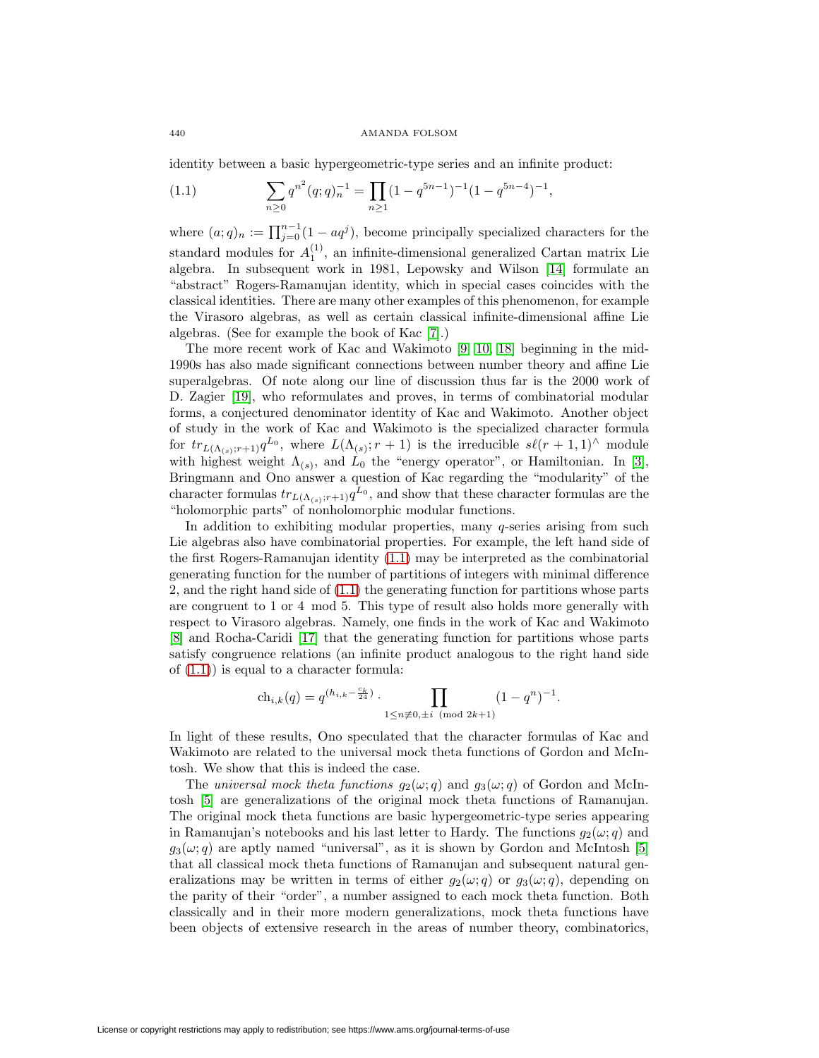identity between a basic hypergeometric-type series and an infinite product:

<span id="page-1-0"></span>(1.1) 
$$
\sum_{n\geq 0} q^{n^2} (q;q)_n^{-1} = \prod_{n\geq 1} (1-q^{5n-1})^{-1} (1-q^{5n-4})^{-1},
$$

where  $(a;q)_n := \prod_{j=0}^{n-1} (1 - aq^j)$ , become principally specialized characters for the standard modules for  $A_1^{(1)}$ , an infinite-dimensional generalized Cartan matrix Lie algebra. In subsequent work in 1981, Lepowsky and Wilson [\[14\]](#page-15-5) formulate an "abstract" Rogers-Ramanujan identity, which in special cases coincides with the classical identities. There are many other examples of this phenomenon, for example the Virasoro algebras, as well as certain classical infinite-dimensional affine Lie algebras. (See for example the book of Kac [\[7\]](#page-15-6).)

The more recent work of Kac and Wakimoto [\[9,](#page-15-7) [10,](#page-15-8) [18\]](#page-16-0) beginning in the mid-1990s has also made significant connections between number theory and affine Lie superalgebras. Of note along our line of discussion thus far is the 2000 work of D. Zagier [\[19\]](#page-16-1), who reformulates and proves, in terms of combinatorial modular forms, a conjectured denominator identity of Kac and Wakimoto. Another object of study in the work of Kac and Wakimoto is the specialized character formula for  $tr_{L(\Lambda_{(s)};r+1)}q^{L_0}$ , where  $L(\Lambda_{(s)};r+1)$  is the irreducible  $s\ell(r+1,1)$ <sup>^</sup> module with highest weight  $\Lambda_{(s)}$ , and  $L_0$  the "energy operator", or Hamiltonian. In [\[3\]](#page-15-9), Bringmann and Ono answer a question of Kac regarding the "modularity" of the character formulas  $tr_{L(\Lambda_{(s)};r+1)}q^{\tilde{L}_0}$ , and show that these character formulas are the "holomorphic parts" of nonholomorphic modular functions.

In addition to exhibiting modular properties, many  $q$ -series arising from such Lie algebras also have combinatorial properties. For example, the left hand side of the first Rogers-Ramanujan identity [\(1.1\)](#page-1-0) may be interpreted as the combinatorial generating function for the number of partitions of integers with minimal difference 2, and the right hand side of [\(1.1\)](#page-1-0) the generating function for partitions whose parts are congruent to 1 or 4 mod 5. This type of result also holds more generally with respect to Virasoro algebras. Namely, one finds in the work of Kac and Wakimoto [\[8\]](#page-15-10) and Rocha-Caridi [\[17\]](#page-16-2) that the generating function for partitions whose parts satisfy congruence relations (an infinite product analogous to the right hand side of  $(1.1)$  is equal to a character formula:

$$
\operatorname{ch}_{i,k}(q) = q^{(h_{i,k} - \frac{c_k}{24})} \cdot \prod_{1 \le n \not\equiv 0, \pm i \pmod{2k+1}} (1 - q^n)^{-1}.
$$

In light of these results, Ono speculated that the character formulas of Kac and Wakimoto are related to the universal mock theta functions of Gordon and McIntosh. We show that this is indeed the case.

The universal mock theta functions  $g_2(\omega; q)$  and  $g_3(\omega; q)$  of Gordon and McIntosh [\[5\]](#page-15-11) are generalizations of the original mock theta functions of Ramanujan. The original mock theta functions are basic hypergeometric-type series appearing in Ramanujan's notebooks and his last letter to Hardy. The functions  $q_2(\omega; q)$  and  $g_3(\omega; q)$  are aptly named "universal", as it is shown by Gordon and McIntosh [\[5\]](#page-15-11) that all classical mock theta functions of Ramanujan and subsequent natural generalizations may be written in terms of either  $g_2(\omega; q)$  or  $g_3(\omega; q)$ , depending on the parity of their "order", a number assigned to each mock theta function. Both classically and in their more modern generalizations, mock theta functions have been objects of extensive research in the areas of number theory, combinatorics,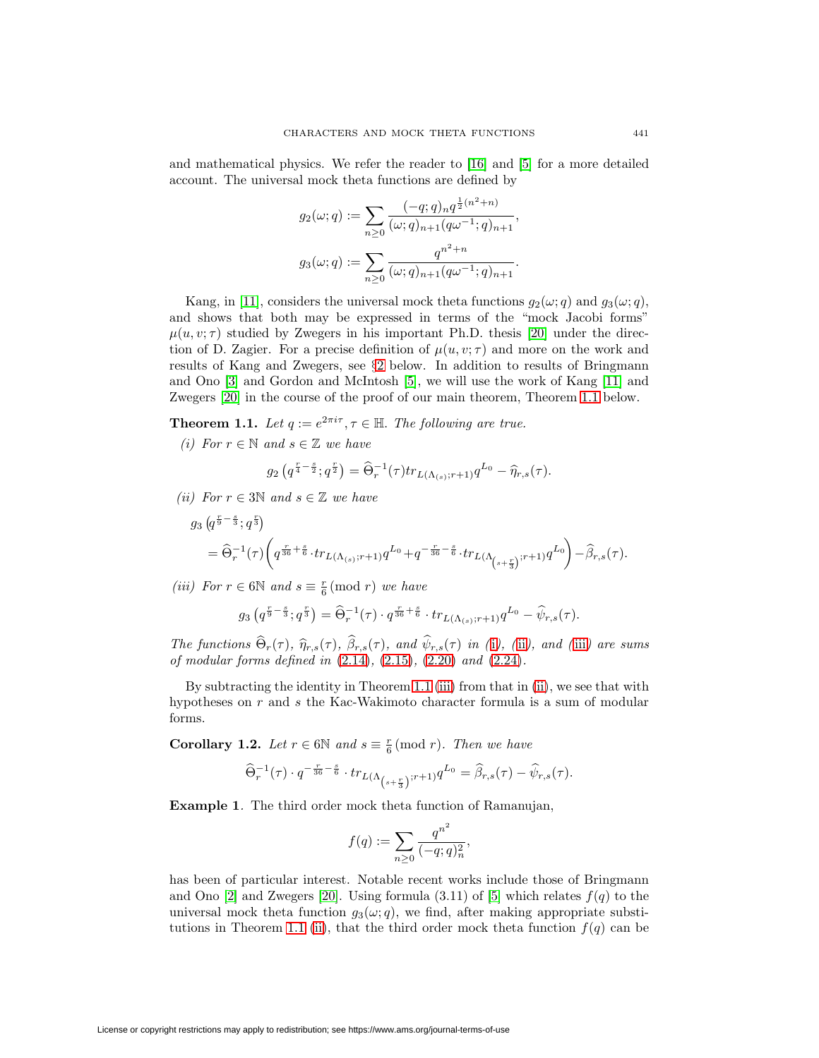and mathematical physics. We refer the reader to [\[16\]](#page-16-3) and [\[5\]](#page-15-11) for a more detailed account. The universal mock theta functions are defined by

$$
g_2(\omega;q) := \sum_{n\geq 0} \frac{(-q;q)_n q^{\frac{1}{2}(n^2+n)}}{(\omega;q)_{n+1}(q\omega^{-1};q)_{n+1}},
$$

$$
g_3(\omega;q) := \sum_{n\geq 0} \frac{q^{n^2+n}}{(\omega;q)_{n+1}(q\omega^{-1};q)_{n+1}}.
$$

Kang, in [\[11\]](#page-15-12), considers the universal mock theta functions  $g_2(\omega; q)$  and  $g_3(\omega; q)$ , and shows that both may be expressed in terms of the "mock Jacobi forms"  $\mu(u, v; \tau)$  studied by Zwegers in his important Ph.D. thesis [\[20\]](#page-16-4) under the direction of D. Zagier. For a precise definition of  $\mu(u, v; \tau)$  and more on the work and results of Kang and Zwegers, see §[2](#page-3-0) below. In addition to results of Bringmann and Ono [\[3\]](#page-15-9) and Gordon and McIntosh [\[5\]](#page-15-11), we will use the work of Kang [\[11\]](#page-15-12) and Zwegers [\[20\]](#page-16-4) in the course of the proof of our main theorem, Theorem [1.1](#page-2-0) below.

<span id="page-2-1"></span><span id="page-2-0"></span>**Theorem 1.1.** Let  $q := e^{2\pi i \tau}, \tau \in \mathbb{H}$ . The following are true.

(i) For  $r \in \mathbb{N}$  and  $s \in \mathbb{Z}$  we have

$$
g_2\left(q^{\frac{r}{4}-\frac{s}{2}};q^{\frac{r}{2}}\right) = \widehat{\Theta}_r^{-1}(\tau)tr_{L(\Lambda_{(s)};r+1)}q^{L_0} - \widehat{\eta}_{r,s}(\tau).
$$

<span id="page-2-2"></span>(ii) For  $r \in 3\mathbb{N}$  and  $s \in \mathbb{Z}$  we have

$$
\begin{split} g_3\left(q^{\frac{r}{9}-\frac{s}{3}};q^{\frac{r}{3}}\right)\\ &\qquad=\widehat{\Theta}_r^{-1}(\tau)\bigg(q^{\frac{r}{36}+\frac{s}{6}}\cdot tr_{L(\Lambda_{(s)};r+1)}q^{L_0}+q^{-\frac{r}{36}-\frac{s}{6}}\cdot tr_{L(\Lambda_{\left(s+\frac{r}{3}\right)};r+1)}q^{L_0}\bigg)-\widehat{\beta}_{r,s}(\tau). \end{split}
$$

<span id="page-2-3"></span>(iii) For  $r \in 6\mathbb{N}$  and  $s \equiv \frac{r}{6}$  (mod r) we have

$$
g_3(q^{\frac{r}{9}-\frac{s}{3}};q^{\frac{r}{3}})=\widehat{\Theta}_r^{-1}(\tau)\cdot q^{\frac{r}{36}+\frac{s}{6}}\cdot tr_{L(\Lambda_{(s)};r+1)}q^{L_0}-\widehat{\psi}_{r,s}(\tau).
$$

The funct[i](#page-2-1)ons  $\Theta_r(\tau)$ ,  $\hat{\eta}_{r,s}(\tau)$ ,  $\beta_{r,s}(\tau)$ , and  $\psi_{r,s}(\tau)$  in (i), ([ii](#page-2-2)), and ([iii](#page-2-3)) are sums of modular forms defined in [\(2.14\)](#page-5-0), [\(2.15\)](#page-5-1), [\(2.20\)](#page-6-0) and [\(2.24\)](#page-7-0).

By subtracting the identity in Theorem [1.1](#page-2-0) [\(iii\)](#page-2-3) from that in [\(ii\)](#page-2-2), we see that with hypotheses on r and s the Kac-Wakimoto character formula is a sum of modular forms.

**Corollary 1.2.** Let  $r \in 6\mathbb{N}$  and  $s \equiv \frac{r}{6}$  (mod r). Then we have

$$
\widehat{\Theta}_r^{-1}(\tau) \cdot q^{-\frac{r}{36}-\frac{s}{6}} \cdot tr_{L(\Lambda _{\left(s+\frac{r}{3}\right)};r+1)} q^{L_0} = \widehat{\beta}_{r,s}(\tau) - \widehat{\psi}_{r,s}(\tau).
$$

**Example 1**. The third order mock theta function of Ramanujan,

$$
f(q) := \sum_{n \ge 0} \frac{q^{n^2}}{(-q;q)_n^2},
$$

has been of particular interest. Notable recent works include those of Bringmann and Ono [\[2\]](#page-15-13) and Zwegers [\[20\]](#page-16-4). Using formula  $(3.11)$  of [\[5\]](#page-15-11) which relates  $f(q)$  to the universal mock theta function  $g_3(\omega; q)$ , we find, after making appropriate substi-tutions in Theorem [1.1](#page-2-0) [\(ii\)](#page-2-2), that the third order mock theta function  $f(q)$  can be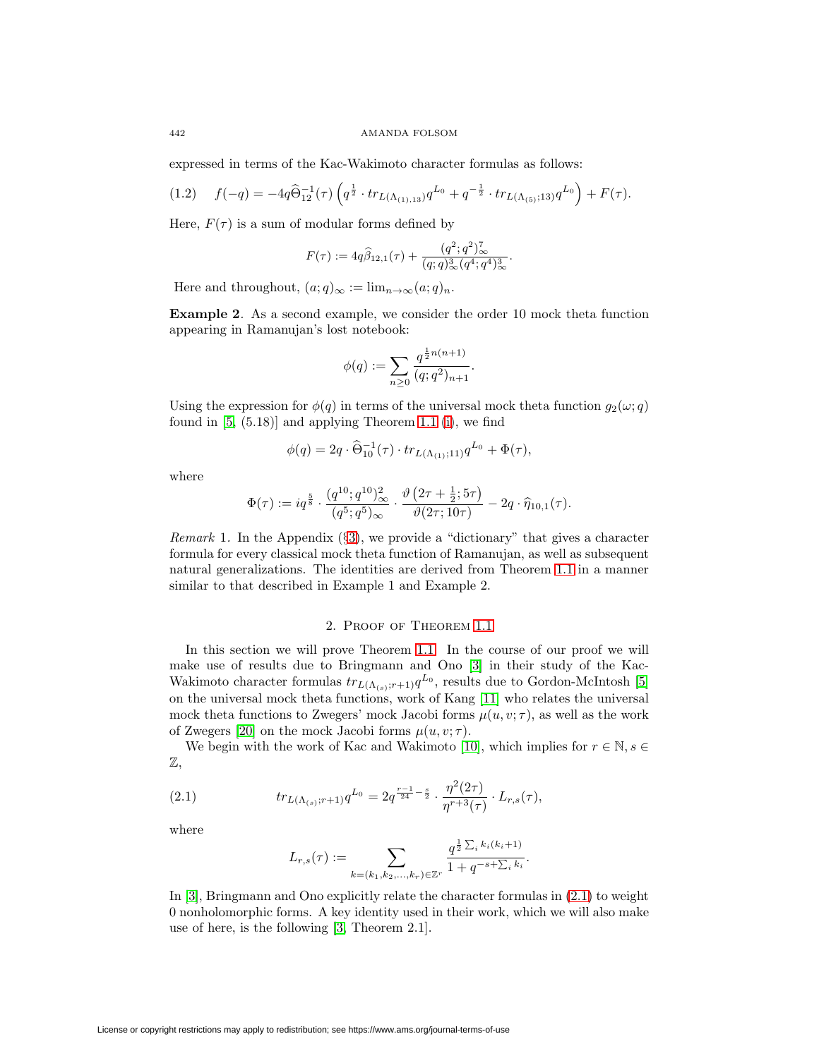expressed in terms of the Kac-Wakimoto character formulas as follows:

$$
(1.2) \t f(-q) = -4q\widehat{\Theta}_{12}^{-1}(\tau)\left(q^{\frac{1}{2}} \cdot tr_{L(\Lambda_{(1),13})}q^{L_0} + q^{-\frac{1}{2}} \cdot tr_{L(\Lambda_{(5)};13)}q^{L_0}\right) + F(\tau).
$$

Here,  $F(\tau)$  is a sum of modular forms defined by

$$
F(\tau) := 4q\widehat{\beta}_{12,1}(\tau) + \frac{(q^2;q^2)_{\infty}^{\tau}}{(q;q)_{\infty}^3(q^4;q^4)_{\infty}^3}.
$$

Here and throughout,  $(a;q)_{\infty} := \lim_{n \to \infty} (a;q)_n$ .

**Example 2**. As a second example, we consider the order 10 mock theta function appearing in Ramanujan's lost notebook:

$$
\phi(q) := \sum_{n\geq 0} \frac{q^{\frac{1}{2}n(n+1)}}{(q;q^2)_{n+1}}.
$$

Using the expression for  $\phi(q)$  in terms of the universal mock theta function  $q_2(\omega; q)$ found in  $[5, (5.18)]$  $[5, (5.18)]$  and applying Theorem [1.1](#page-2-0) [\(i\)](#page-2-1), we find

$$
\phi(q) = 2q \cdot \widehat{\Theta}_{10}^{-1}(\tau) \cdot tr_{L(\Lambda_{(1)};11)} q^{L_0} + \Phi(\tau),
$$

where

$$
\Phi(\tau) := iq^{\frac{5}{8}} \cdot \frac{(q^{10}; q^{10})_{\infty}^2}{(q^5; q^5)_{\infty}} \cdot \frac{\vartheta\left(2\tau + \frac{1}{2}; 5\tau\right)}{\vartheta(2\tau; 10\tau)} - 2q \cdot \widehat{\eta}_{10,1}(\tau).
$$

*Remark* 1. In the Appendix (§[3\)](#page-10-0), we provide a "dictionary" that gives a character formula for every classical mock theta function of Ramanujan, as well as subsequent natural generalizations. The identities are derived from Theorem [1.1](#page-2-0) in a manner similar to that described in Example 1 and Example 2.

# 2. Proof of Theorem [1.1](#page-2-0)

<span id="page-3-0"></span>In this section we will prove Theorem [1.1.](#page-2-0) In the course of our proof we will make use of results due to Bringmann and Ono [\[3\]](#page-15-9) in their study of the Kac-Wakimoto character formulas  $tr_{L(\Lambda_{(s)};r+1)}q^{L_0},$  results due to Gordon-McIntosh [\[5\]](#page-15-11) on the universal mock theta functions, work of Kang [\[11\]](#page-15-12) who relates the universal mock theta functions to Zwegers' mock Jacobi forms  $\mu(u, v; \tau)$ , as well as the work of Zwegers [\[20\]](#page-16-4) on the mock Jacobi forms  $\mu(u, v; \tau)$ .

We begin with the work of Kac and Wakimoto [\[10\]](#page-15-8), which implies for  $r \in \mathbb{N}, s \in$ Z,

<span id="page-3-1"></span>(2.1) 
$$
tr_{L(\Lambda_{(s)};r+1)} q^{L_0} = 2q^{\frac{r-1}{24} - \frac{s}{2}} \cdot \frac{\eta^2(2\tau)}{\eta^{r+3}(\tau)} \cdot L_{r,s}(\tau),
$$

where

$$
L_{r,s}(\tau) := \sum_{k=(k_1,k_2,\ldots,k_r) \in \mathbb{Z}^r} \frac{q^{\frac{1}{2}\sum_i k_i(k_i+1)}}{1+q^{-s+\sum_i k_i}}.
$$

In [\[3\]](#page-15-9), Bringmann and Ono explicitly relate the character formulas in [\(2.1\)](#page-3-1) to weight 0 nonholomorphic forms. A key identity used in their work, which we will also make use of here, is the following [\[3,](#page-15-9) Theorem 2.1].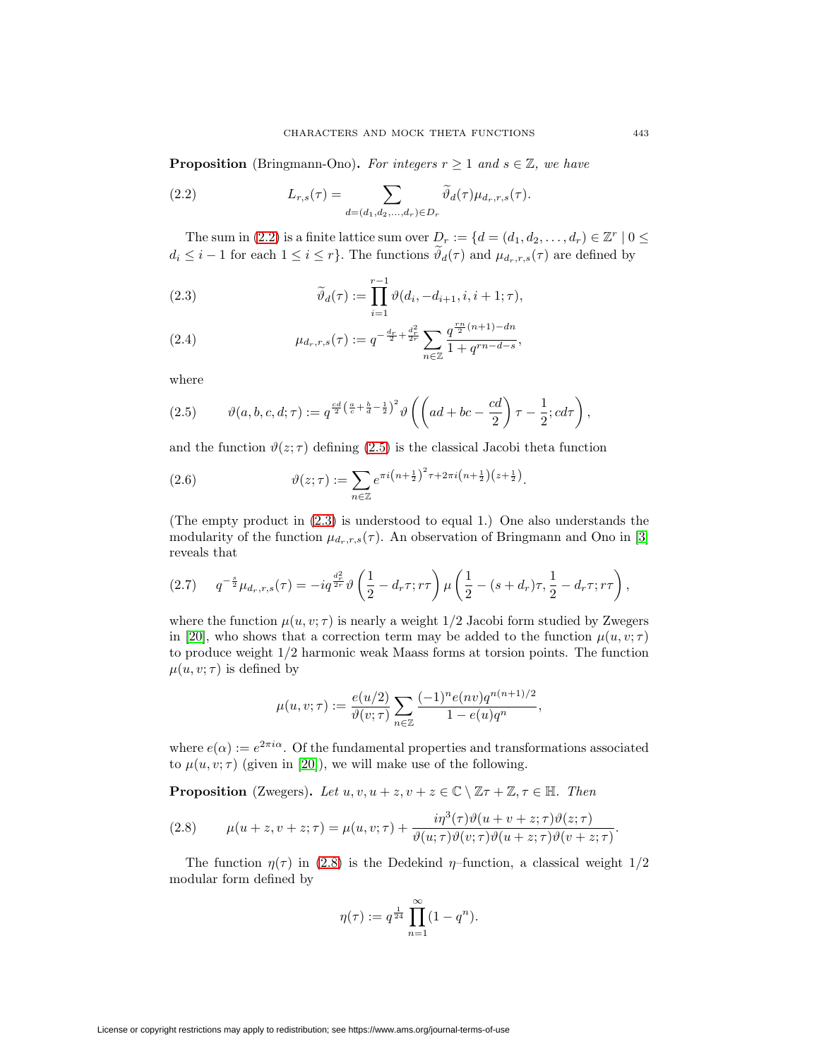**Proposition** (Bringmann-Ono). For integers  $r \geq 1$  and  $s \in \mathbb{Z}$ , we have

<span id="page-4-0"></span>(2.2) 
$$
L_{r,s}(\tau) = \sum_{d=(d_1,d_2,\ldots,d_r)\in D_r} \widetilde{\vartheta}_d(\tau) \mu_{d_r,r,s}(\tau).
$$

The sum in [\(2.2\)](#page-4-0) is a finite lattice sum over  $D_r := \{d = (d_1, d_2, \ldots, d_r) \in \mathbb{Z}^r \mid 0 \leq$  $d_i \leq i-1$  for each  $1 \leq i \leq r$ . The functions  $\widetilde{\vartheta}_d(\tau)$  and  $\mu_{d_r,r,s}(\tau)$  are defined by

<span id="page-4-2"></span>(2.3) 
$$
\widetilde{\vartheta}_d(\tau) := \prod_{i=1}^{r-1} \vartheta(d_i, -d_{i+1}, i, i+1; \tau),
$$

(2.4) 
$$
\mu_{d_r,r,s}(\tau) := q^{-\frac{d_r}{2} + \frac{d_r^2}{2r}} \sum_{n \in \mathbb{Z}} \frac{q^{\frac{rn}{2}(n+1) - dn}}{1 + q^{rn - d - s}},
$$

where

<span id="page-4-1"></span>(2.5) 
$$
\vartheta(a,b,c,d;\tau) := q^{\frac{cd}{2}\left(\frac{a}{c} + \frac{b}{d} - \frac{1}{2}\right)^2} \vartheta \left( \left(ad + bc - \frac{cd}{2}\right)\tau - \frac{1}{2}; cd\tau \right),
$$

and the function  $\vartheta(z;\tau)$  defining [\(2.5\)](#page-4-1) is the classical Jacobi theta function

(2.6) 
$$
\vartheta(z;\tau) := \sum_{n\in\mathbb{Z}} e^{\pi i \left(n+\frac{1}{2}\right)^2 \tau + 2\pi i \left(n+\frac{1}{2}\right)\left(z+\frac{1}{2}\right)}.
$$

(The empty product in [\(2.3\)](#page-4-2) is understood to equal 1.) One also understands the modularity of the function  $\mu_{d_r,r,s}(\tau)$ . An observation of Bringmann and Ono in [\[3\]](#page-15-9) reveals that

<span id="page-4-4"></span>
$$
(2.7) \t q^{-\frac{s}{2}} \mu_{d_r,r,s}(\tau) = -iq^{\frac{d_r^2}{2r}} \vartheta \left(\frac{1}{2} - d_r \tau; r\tau\right) \mu \left(\frac{1}{2} - (s + d_r) \tau, \frac{1}{2} - d_r \tau; r\tau\right),
$$

where the function  $\mu(u, v; \tau)$  is nearly a weight  $1/2$  Jacobi form studied by Zwegers in [\[20\]](#page-16-4), who shows that a correction term may be added to the function  $\mu(u, v; \tau)$ to produce weight 1/2 harmonic weak Maass forms at torsion points. The function  $\mu(u, v; \tau)$  is defined by

$$
\mu(u, v; \tau) := \frac{e(u/2)}{\vartheta(v; \tau)} \sum_{n \in \mathbb{Z}} \frac{(-1)^n e(nv) q^{n(n+1)/2}}{1 - e(u) q^n},
$$

where  $e(\alpha) := e^{2\pi i \alpha}$ . Of the fundamental properties and transformations associated to  $\mu(u, v; \tau)$  (given in [\[20\]](#page-16-4)), we will make use of the following.

**Proposition** (Zwegers). Let  $u, v, u + z, v + z \in \mathbb{C} \setminus \mathbb{Z}\tau + \mathbb{Z}, \tau \in \mathbb{H}$ . Then

<span id="page-4-3"></span>(2.8) 
$$
\mu(u+z,v+z;\tau) = \mu(u,v;\tau) + \frac{i\eta^3(\tau)\vartheta(u+v+z;\tau)\vartheta(z;\tau)}{\vartheta(u;\tau)\vartheta(v;\tau)\vartheta(u+z;\tau)\vartheta(v+z;\tau)}.
$$

The function  $\eta(\tau)$  in [\(2.8\)](#page-4-3) is the Dedekind  $\eta$ –function, a classical weight 1/2 modular form defined by

$$
\eta(\tau) := q^{\frac{1}{24}} \prod_{n=1}^{\infty} (1 - q^n).
$$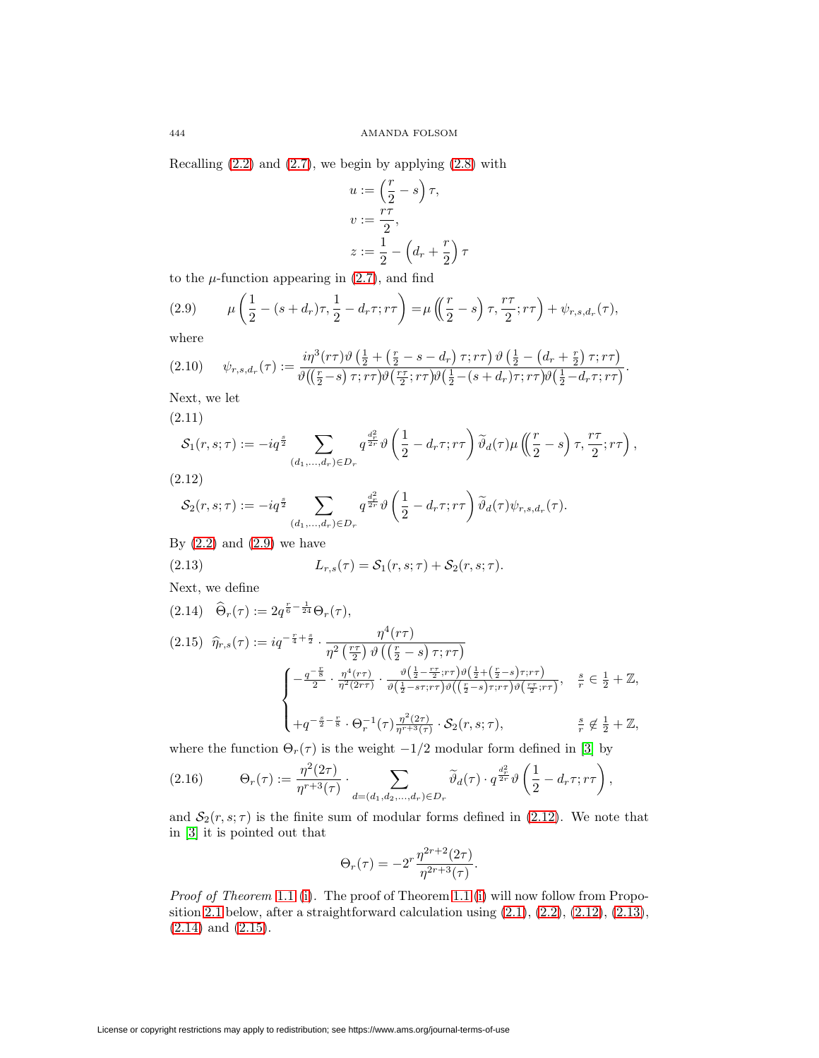Recalling  $(2.2)$  and  $(2.7)$ , we begin by applying  $(2.8)$  with

$$
u := \left(\frac{r}{2} - s\right)\tau,
$$
  
\n
$$
v := \frac{r\tau}{2},
$$
  
\n
$$
z := \frac{1}{2} - \left(d_r + \frac{r}{2}\right)\tau
$$

to the  $\mu$ -function appearing in  $(2.7)$ , and find

<span id="page-5-2"></span>(2.9) 
$$
\mu\left(\frac{1}{2} - (s + d_r)\tau, \frac{1}{2} - d_r\tau; r\tau\right) = \mu\left(\left(\frac{r}{2} - s\right)\tau, \frac{r\tau}{2}; r\tau\right) + \psi_{r,s,d_r}(\tau),
$$

where

$$
(2.10) \quad \psi_{r,s,d_r}(\tau) := \frac{i\eta^3(r\tau)\vartheta\left(\frac{1}{2} + \left(\frac{r}{2} - s - d_r\right)\tau; r\tau\right)\vartheta\left(\frac{1}{2} - \left(d_r + \frac{r}{2}\right)\tau; r\tau\right)}{\vartheta\left(\left(\frac{r}{2} - s\right)\tau; r\tau\right)\vartheta\left(\frac{r\tau}{2}; r\tau\right)\vartheta\left(\frac{1}{2} - (s + d_r)\tau; r\tau\right)\vartheta\left(\frac{1}{2} - d_r\tau; r\tau\right)}.
$$

Next, we let

<span id="page-5-6"></span>(2.11)

$$
\mathcal{S}_1(r,s;\tau) := -iq^{\frac{s}{2}} \sum_{(d_1,\ldots,d_r)\in D_r} q^{\frac{d_r^2}{2r}} \vartheta \left(\frac{1}{2} - d_r \tau; r\tau\right) \widetilde{\vartheta}_d(\tau) \mu\left(\frac{r}{2} - s\right) \tau, \frac{r\tau}{2}; r\tau\right),
$$

<span id="page-5-3"></span>(2.12)

$$
\mathcal{S}_2(r,s;\tau) := -iq^{\frac{s}{2}} \sum_{(d_1,\ldots,d_r)\in D_r} q^{\frac{d_r^2}{2r}} \vartheta \left(\frac{1}{2} - d_r \tau; r\tau\right) \widetilde{\vartheta}_d(\tau) \psi_{r,s,d_r}(\tau).
$$

By  $(2.2)$  and  $(2.9)$  we have

<span id="page-5-5"></span>(2.13) 
$$
L_{r,s}(\tau) = S_1(r,s;\tau) + S_2(r,s;\tau).
$$

Next, we define

<span id="page-5-1"></span><span id="page-5-0"></span>
$$
(2.14) \quad \widehat{\Theta}_r(\tau) := 2q^{\frac{r}{6} - \frac{1}{24}} \Theta_r(\tau),
$$
\n
$$
(2.15) \quad \widehat{\eta}_{r,s}(\tau) := iq^{-\frac{r}{4} + \frac{s}{2}} \cdot \frac{\eta^4(r\tau)}{\eta^2(\frac{r\tau}{2}) \vartheta((\frac{r}{2} - s)\tau; r\tau)}
$$
\n
$$
\begin{cases}\n-\frac{q^{-\frac{r}{8}}}{2} \cdot \frac{\eta^4(r\tau)}{\eta^2(2r\tau)} \cdot \frac{\vartheta(\frac{1}{2} - \frac{r\tau}{2}; r\tau) \vartheta(\frac{1}{2} + (\frac{r}{2} - s)\tau; r\tau)}{\vartheta(\frac{1}{2} - s\tau; r\tau) \vartheta((\frac{r}{2} - s)\tau; r\tau) \vartheta(\frac{r\tau}{2}; r\tau)}, \quad \frac{s}{r} \in \frac{1}{2} + \mathbb{Z}, \\
+q^{-\frac{s}{2} - \frac{r}{8}} \cdot \Theta_r^{-1}(\tau) \frac{\eta^2(2\tau)}{\eta^{r+3}(\tau)} \cdot \mathcal{S}_2(r, s; \tau), \qquad \frac{s}{r} \notin \frac{1}{2} + \mathbb{Z},\n\end{cases}
$$

where the function  $\Theta_r(\tau)$  is the weight  $-1/2$  modular form defined in [\[3\]](#page-15-9) by

$$
(2.16) \qquad \Theta_r(\tau) := \frac{\eta^2(2\tau)}{\eta^{r+3}(\tau)} \cdot \sum_{d=(d_1,d_2,\ldots,d_r)\in D_r} \widetilde{\vartheta}_d(\tau) \cdot q^{\frac{d_r^2}{2r}} \vartheta\left(\frac{1}{2} - d_r \tau; r\tau\right),
$$

and  $S_2(r, s; \tau)$  is the finite sum of modular forms defined in [\(2.12\)](#page-5-3). We note that in [\[3\]](#page-15-9) it is pointed out that

$$
\Theta_r(\tau) = -2^r \frac{\eta^{2r+2}(2\tau)}{\eta^{2r+3}(\tau)}.
$$

<span id="page-5-4"></span>Proof of Theorem [1.1](#page-2-0) [\(i\)](#page-2-1). The proof of Theorem [1.1](#page-2-0) [\(i\)](#page-2-1) will now follow from Propo-sition [2.1](#page-5-4) below, after a straightforward calculation using  $(2.1), (2.2), (2.12), (2.13),$  $(2.1), (2.2), (2.12), (2.13),$  $(2.1), (2.2), (2.12), (2.13),$  $(2.1), (2.2), (2.12), (2.13),$  $(2.1), (2.2), (2.12), (2.13),$  $(2.1), (2.2), (2.12), (2.13),$  $(2.1), (2.2), (2.12), (2.13),$  $(2.1), (2.2), (2.12), (2.13),$ [\(2.14\)](#page-5-0) and [\(2.15\)](#page-5-1).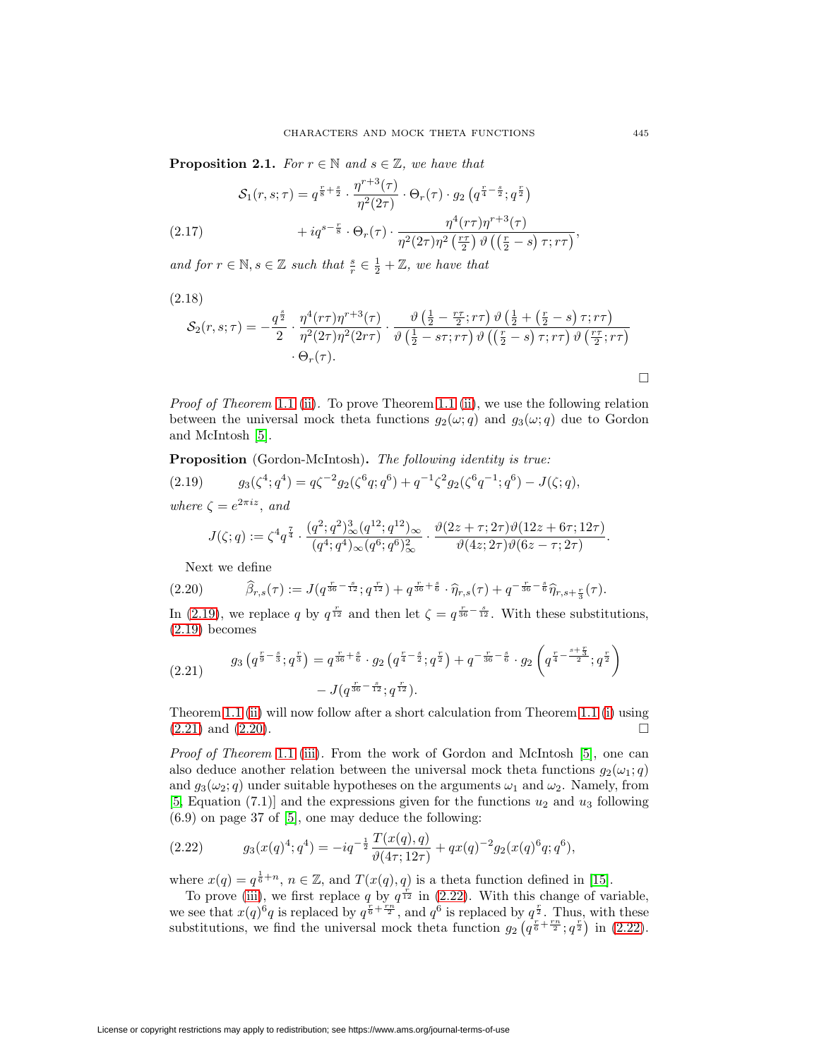**Proposition 2.1.** For  $r \in \mathbb{N}$  and  $s \in \mathbb{Z}$ , we have that

$$
\mathcal{S}_1(r,s;\tau) = q^{\frac{r}{8} + \frac{s}{2}} \cdot \frac{\eta^{r+3}(\tau)}{\eta^2(2\tau)} \cdot \Theta_r(\tau) \cdot g_2\left(q^{\frac{r}{4} - \frac{s}{2}}; q^{\frac{r}{2}}\right) + i q^{s-\frac{r}{8}} \cdot \Theta_r(\tau) \cdot \frac{\eta^4(r\tau)\eta^{r+3}(\tau)}{\eta^2(2\tau)\eta^2\left(\frac{r\tau}{2}\right)\vartheta\left(\left(\frac{r}{2} - s\right)\tau; r\tau\right)},
$$

<span id="page-6-5"></span><span id="page-6-4"></span>and for  $r \in \mathbb{N}, s \in \mathbb{Z}$  such that  $\frac{s}{r} \in \frac{1}{2} + \mathbb{Z}$ , we have that

(2.18)

$$
\mathcal{S}_2(r,s;\tau) = -\frac{q^{\frac{s}{2}}}{2} \cdot \frac{\eta^4(r\tau)\eta^{r+3}(\tau)}{\eta^2(2\tau)\eta^2(2r\tau)} \cdot \frac{\vartheta\left(\frac{1}{2} - \frac{r\tau}{2};r\tau\right)\vartheta\left(\frac{1}{2} + \left(\frac{r}{2} - s\right)\tau; r\tau\right)}{\vartheta\left(\frac{1}{2} - s\tau; r\tau\right)\vartheta\left(\left(\frac{r}{2} - s\right)\tau; r\tau\right)\vartheta\left(\frac{r\tau}{2};r\tau\right)} \cdot \Theta_r(\tau).
$$

*Proof of Theorem [1.1](#page-2-0)* [\(ii\)](#page-2-2). To prove Theorem [1.1](#page-2-0) (ii), we use the following relation between the universal mock theta functions  $g_2(\omega; q)$  and  $g_3(\omega; q)$  due to Gordon and McIntosh [\[5\]](#page-15-11).

<span id="page-6-1"></span>**Proposition** (Gordon-McIntosh)**.** The following identity is true: (2.19)  $g_3(\zeta^4; q^4) = q\zeta^{-2}g_2(\zeta^6q; q^6) + q^{-1}\zeta^2g_2(\zeta^6q^{-1}; q^6) - J(\zeta; q),$ where  $\zeta = e^{2\pi i z}$ , and

$$
J(\zeta;q) := \zeta^4 q^{\frac{7}{4}} \cdot \frac{(q^2;q^2)_{\infty}^3 (q^{12};q^{12})_{\infty}}{(q^4;q^4)_{\infty}(q^6;q^6)_{\infty}^2} \cdot \frac{\vartheta(2z+\tau;2\tau)\vartheta(12z+6\tau;12\tau)}{\vartheta(4z;2\tau)\vartheta(6z-\tau;2\tau)}.
$$

Next we define

<span id="page-6-0"></span>
$$
(2.20) \qquad \widehat{\beta}_{r,s}(\tau) := J(q^{\frac{r}{36} - \frac{s}{12}}; q^{\frac{r}{12}}) + q^{\frac{r}{36} + \frac{s}{6}} \cdot \widehat{\eta}_{r,s}(\tau) + q^{-\frac{r}{36} - \frac{s}{6}} \widehat{\eta}_{r,s+\frac{r}{3}}(\tau).
$$

<span id="page-6-2"></span>In [\(2.19\)](#page-6-1), we replace q by  $q^{\frac{r}{12}}$  and then let  $\zeta = q^{\frac{r}{36} - \frac{s}{12}}$ . With these substitutions,  $(2.19)$  becomes

$$
(2.21) \qquad g_3\left(q^{\frac{r}{9}-\frac{s}{3}};q^{\frac{r}{3}}\right) = q^{\frac{r}{36}+\frac{s}{6}} \cdot g_2\left(q^{\frac{r}{4}-\frac{s}{2}};q^{\frac{r}{2}}\right) + q^{-\frac{r}{36}-\frac{s}{6}} \cdot g_2\left(q^{\frac{r}{4}-\frac{s+\frac{r}{3}}{2}};q^{\frac{r}{2}}\right) - J(q^{\frac{r}{36}-\frac{s}{12}};q^{\frac{r}{12}}).
$$

Theorem [1.1](#page-2-0) [\(ii\)](#page-2-2) will now follow after a short calculation from Theorem [1.1](#page-2-0) [\(i\)](#page-2-1) using  $(2.21)$  and  $(2.20)$ .

Proof of Theorem [1.1](#page-2-0) [\(iii\)](#page-2-3). From the work of Gordon and McIntosh [\[5\]](#page-15-11), one can also deduce another relation between the universal mock theta functions  $q_2(\omega_1; q)$ and  $g_3(\omega_2; q)$  under suitable hypotheses on the arguments  $\omega_1$  and  $\omega_2$ . Namely, from [\[5,](#page-15-11) Equation (7.1)] and the expressions given for the functions  $u_2$  and  $u_3$  following  $(6.9)$  on page 37 of [\[5\]](#page-15-11), one may deduce the following:

<span id="page-6-3"></span>(2.22) 
$$
g_3(x(q)^4; q^4) = -iq^{-\frac{1}{2}} \frac{T(x(q), q)}{\vartheta(4\tau; 12\tau)} + qx(q)^{-2} g_2(x(q)^6 q; q^6),
$$

where  $x(q) = q^{\frac{1}{6}+n}$ ,  $n \in \mathbb{Z}$ , and  $T(x(q), q)$  is a theta function defined in [\[15\]](#page-15-14).

To prove [\(iii\)](#page-2-3), we first replace q by  $q^{\frac{r}{12}}$  in [\(2.22\)](#page-6-3). With this change of variable, we see that  $x(q)^6q$  is replaced by  $q^{\frac{r}{6}+\frac{rn}{2}}$ , and  $q^6$  is replaced by  $q^{\frac{r}{2}}$ . Thus, with these substitutions, we find the universal mock theta function  $g_2(q^{\frac{r}{6} + \frac{rn}{2}}; q^{\frac{r}{2}})$  in [\(2.22\)](#page-6-3).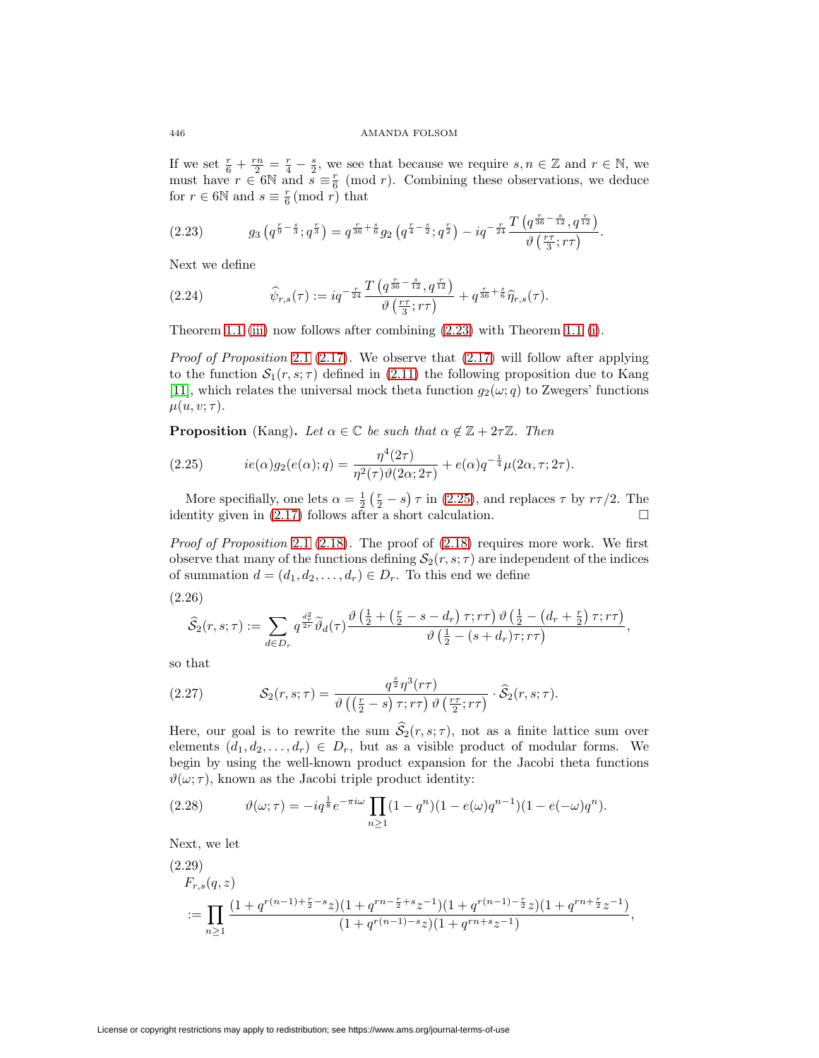If we set  $\frac{r}{6} + \frac{rn}{2} = \frac{r}{4} - \frac{s}{2}$ , we see that because we require  $s, n \in \mathbb{Z}$  and  $r \in \mathbb{N}$ , we must have  $r \in 6\mathbb{N}$  and  $s \equiv \frac{r}{6} \pmod{r}$ . Combining these observations, we deduce for  $r \in 6\mathbb{N}$  and  $s \equiv \frac{r}{6} \pmod{r}$  that

<span id="page-7-1"></span>
$$
(2.23) \t\t g_3\left(q^{\frac{r}{9}-\frac{s}{3}};q^{\frac{r}{3}}\right)=q^{\frac{r}{36}+\frac{s}{6}}g_2\left(q^{\frac{r}{4}-\frac{s}{2}};q^{\frac{r}{2}}\right)-iq^{-\frac{r}{24}}\frac{T\left(q^{\frac{r}{36}-\frac{s}{12}},q^{\frac{r}{12}}\right)}{\vartheta\left(\frac{r\tau}{3};r\tau\right)}.
$$

Next we define

<span id="page-7-0"></span>(2.24) 
$$
\widehat{\psi}_{r,s}(\tau) := iq^{-\frac{r}{24}} \frac{T\left(q^{\frac{r}{36}-\frac{s}{12}}, q^{\frac{r}{12}}\right)}{\vartheta\left(\frac{r\tau}{3}; r\tau\right)} + q^{\frac{r}{36}+\frac{s}{6}} \widehat{\eta}_{r,s}(\tau).
$$

Theorem [1.1](#page-2-0) [\(iii\)](#page-2-3) now follows after combining [\(2.23\)](#page-7-1) with Theorem [1.1](#page-2-0) [\(i\)](#page-2-1).

*Proof of Proposition* [2.1](#page-5-4) [\(2.17\)](#page-6-4). We observe that  $(2.17)$  will follow after applying to the function  $S_1(r, s; \tau)$  defined in [\(2.11\)](#page-5-6) the following proposition due to Kang [\[11\]](#page-15-12), which relates the universal mock theta function  $g_2(\omega; q)$  to Zwegers' functions  $\mu(u, v; \tau)$ .

**Proposition** (Kang). Let  $\alpha \in \mathbb{C}$  be such that  $\alpha \notin \mathbb{Z} + 2\tau \mathbb{Z}$ . Then

<span id="page-7-2"></span>(2.25) 
$$
ie(\alpha)g_2(e(\alpha);q) = \frac{\eta^4(2\tau)}{\eta^2(\tau)\vartheta(2\alpha;2\tau)} + e(\alpha)q^{-\frac{1}{4}}\mu(2\alpha,\tau;2\tau).
$$

More specifially, one lets  $\alpha = \frac{1}{2}(\frac{r}{2} - s) \tau$  in [\(2.25\)](#page-7-2), and replaces  $\tau$  by  $r\tau/2$ . The identity given in  $(2.17)$  follows after a short calculation.  $\Box$ 

*Proof of Proposition [2.1](#page-5-4) [\(2.18\)](#page-6-5).* The proof of  $(2.18)$  requires more work. We first observe that many of the functions defining  $S_2(r, s; \tau)$  are independent of the indices of summation  $d = (d_1, d_2, \ldots, d_r) \in D_r$ . To this end we define

<span id="page-7-4"></span>(2.26)

$$
\widehat{S}_2(r,s;\tau) := \sum_{d \in D_r} q^{\frac{d_r^2}{2r}} \widetilde{\vartheta}_d(\tau) \frac{\vartheta\left(\frac{1}{2} + \left(\frac{r}{2} - s - d_r\right)\tau; r\tau\right) \vartheta\left(\frac{1}{2} - \left(d_r + \frac{r}{2}\right)\tau; r\tau\right)}{\vartheta\left(\frac{1}{2} - \left(s + d_r\right)\tau; r\tau\right)},
$$

so that

<span id="page-7-6"></span>(2.27) 
$$
\mathcal{S}_2(r,s;\tau) = \frac{q^{\frac{s}{2}}\eta^3(r\tau)}{\vartheta\left(\left(\frac{r}{2}-s\right)\tau;r\tau\right)\vartheta\left(\frac{r\tau}{2};r\tau\right)} \cdot \widehat{\mathcal{S}}_2(r,s;\tau).
$$

Here, our goal is to rewrite the sum  $\hat{S}_2(r, s; \tau)$ , not as a finite lattice sum over elements  $(d_1, d_2, \ldots, d_r) \in D_r$ , but as a visible product of modular forms. We begin by using the well-known product expansion for the Jacobi theta functions  $\vartheta(\omega;\tau)$ , known as the Jacobi triple product identity:

<span id="page-7-3"></span>(2.28) 
$$
\vartheta(\omega;\tau) = -iq^{\frac{1}{8}}e^{-\pi i\omega}\prod_{n\geq 1}(1-q^n)(1-e(\omega)q^{n-1})(1-e(-\omega)q^n).
$$

<span id="page-7-5"></span>Next, we let

$$
(2.29)
$$
\n
$$
F_{r,s}(q,z)
$$
\n
$$
:= \prod_{n\geq 1} \frac{(1+q^{r(n-1)+\frac{r}{2}-s}z)(1+q^{rn-\frac{r}{2}+s}z^{-1})(1+q^{r(n-1)-\frac{r}{2}}z)(1+q^{rn+\frac{r}{2}}z^{-1})}{(1+q^{r(n-1)-s}z)(1+q^{rn+s}z^{-1})},
$$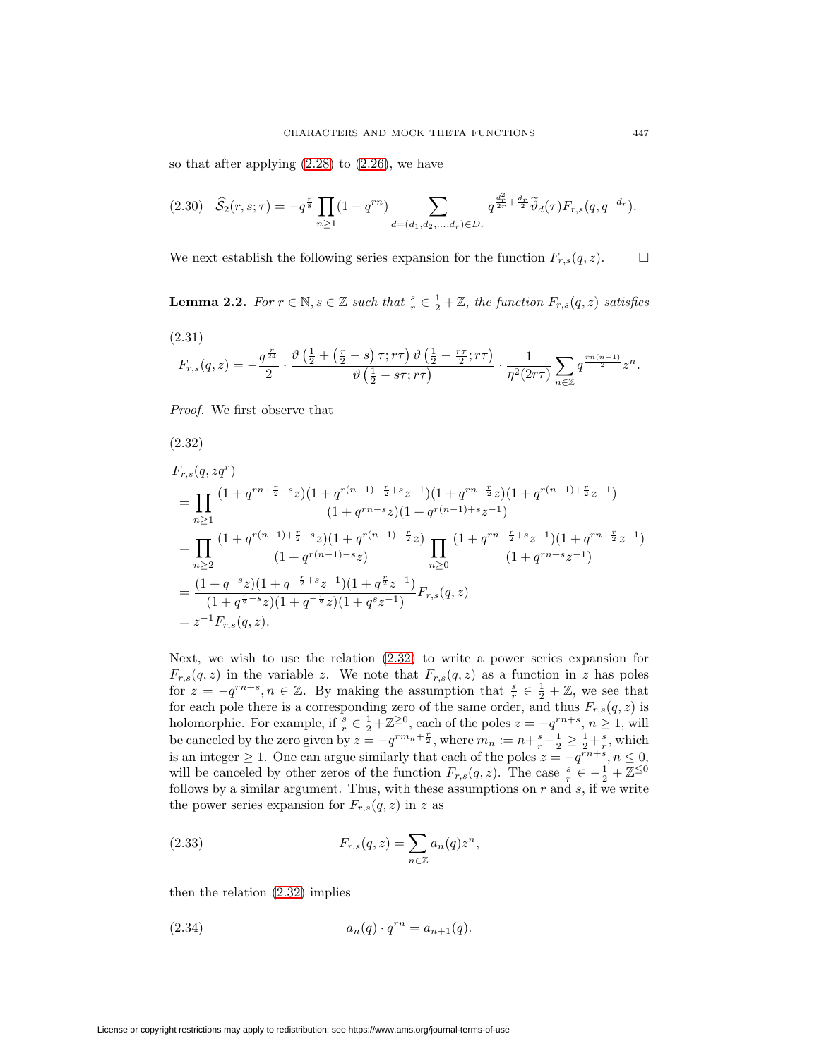so that after applying  $(2.28)$  to  $(2.26)$ , we have

<span id="page-8-3"></span>
$$
(2.30) \quad \widehat{S}_2(r,s;\tau) = -q^{\frac{r}{8}} \prod_{n \ge 1} (1 - q^{rn}) \sum_{d = (d_1, d_2, \dots, d_r) \in D_r} q^{\frac{d_r^2}{2r} + \frac{d_r}{2}} \widetilde{\vartheta}_d(\tau) F_{r,s}(q, q^{-d_r}).
$$

We next establish the following series expansion for the function  $F_{r,s}(q, z)$ .  $\Box$ 

**Lemma 2.2.** For  $r \in \mathbb{N}, s \in \mathbb{Z}$  such that  $\frac{s}{r} \in \frac{1}{2} + \mathbb{Z}$ , the function  $F_{r,s}(q, z)$  satisfies

<span id="page-8-2"></span>(2.31)  
\n
$$
F_{r,s}(q,z) = -\frac{q^{\frac{r}{24}}}{2} \cdot \frac{\vartheta\left(\frac{1}{2} + \left(\frac{r}{2} - s\right)\tau; r\tau\right)\vartheta\left(\frac{1}{2} - \frac{r\tau}{2}; r\tau\right)}{\vartheta\left(\frac{1}{2} - s\tau; r\tau\right)} \cdot \frac{1}{\eta^2(2r\tau)} \sum_{n \in \mathbb{Z}} q^{\frac{rn(n-1)}{2}} z^n.
$$

Proof. We first observe that

<span id="page-8-0"></span>(2.32)

$$
F_{r,s}(q, zq^r)
$$
\n
$$
= \prod_{n\geq 1} \frac{(1+q^{rn+\frac{r}{2}-s}z)(1+q^{r(n-1)-\frac{r}{2}+s}z^{-1})(1+q^{rn-\frac{r}{2}}z)(1+q^{r(n-1)+\frac{r}{2}}z^{-1})}{(1+q^{rn-s}z)(1+q^{r(n-1)+s}z^{-1})}
$$
\n
$$
= \prod_{n\geq 2} \frac{(1+q^{r(n-1)+\frac{r}{2}-s}z)(1+q^{r(n-1)-\frac{r}{2}}z)}{(1+q^{r(n-1)-s}z)} \prod_{n\geq 0} \frac{(1+q^{rn-\frac{r}{2}+s}z^{-1})(1+q^{rn+\frac{r}{2}}z^{-1})}{(1+q^{rn+s}z^{-1})}
$$
\n
$$
= \frac{(1+q^{-s}z)(1+q^{-\frac{r}{2}+s}z^{-1})(1+q^{\frac{r}{2}}z^{-1})}{(1+q^{\frac{r}{2}-s}z)(1+q^{-\frac{r}{2}}z)(1+q^{s}z^{-1})}F_{r,s}(q,z)
$$
\n
$$
= z^{-1}F_{r,s}(q,z).
$$

Next, we wish to use the relation [\(2.32\)](#page-8-0) to write a power series expansion for  $F_{r,s}(q, z)$  in the variable z. We note that  $F_{r,s}(q, z)$  as a function in z has poles for  $z = -q^{rn+s}, n \in \mathbb{Z}$ . By making the assumption that  $\frac{s}{r} \in \frac{1}{2} + \mathbb{Z}$ , we see that for each pole there is a corresponding zero of the same order, and thus  $F_{r,s}(q, z)$  is holomorphic. For example, if  $\frac{s}{r} \in \frac{1}{2} + \mathbb{Z}^{\geq 0}$ , each of the poles  $z = -q^{rn+s}$ ,  $n \geq 1$ , will be canceled by the zero given by  $z = -q^{rm_n + \frac{r}{2}}$ , where  $m_n := n + \frac{s}{r} - \frac{1}{2} \geq \frac{1}{2} + \frac{s}{r}$ , which is an integer  $\geq 1$ . One can argue similarly that each of the poles  $z = -q^{\tilde{r}n+s}, n \leq 0$ , will be canceled by other zeros of the function  $F_{r,s}(q, z)$ . The case  $\frac{s}{r} \in -\frac{1}{2} + \mathbb{Z}^{\leq 0}$ follows by a similar argument. Thus, with these assumptions on  $r$  and  $s$ , if we write the power series expansion for  $F_{r,s}(q,z)$  in z as

(2.33) 
$$
F_{r,s}(q,z) = \sum_{n \in \mathbb{Z}} a_n(q) z^n,
$$

then the relation [\(2.32\)](#page-8-0) implies

<span id="page-8-1"></span>(2.34) 
$$
a_n(q) \cdot q^{rn} = a_{n+1}(q).
$$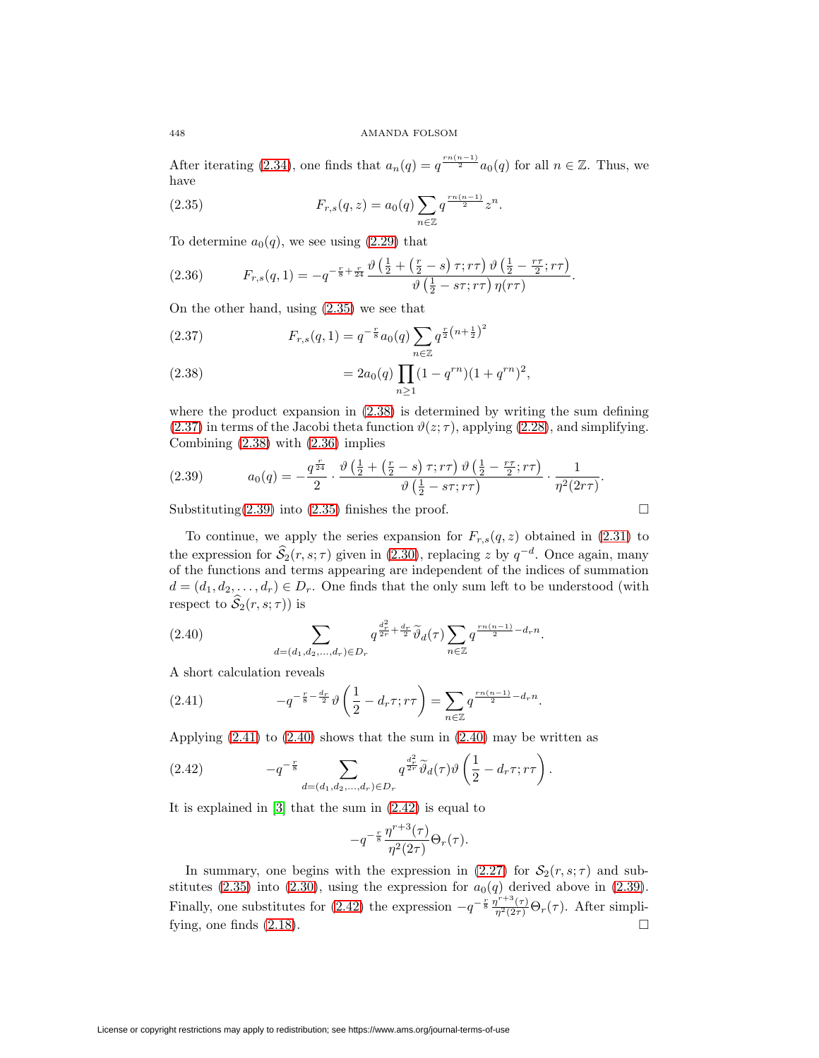After iterating [\(2.34\)](#page-8-1), one finds that  $a_n(q) = q^{\frac{rn(n-1)}{2}} a_0(q)$  for all  $n \in \mathbb{Z}$ . Thus, we have

<span id="page-9-0"></span>(2.35) 
$$
F_{r,s}(q,z) = a_0(q) \sum_{n \in \mathbb{Z}} q^{\frac{rn(n-1)}{2}} z^n.
$$

To determine  $a_0(q)$ , we see using [\(2.29\)](#page-7-5) that

<span id="page-9-3"></span>(2.36) 
$$
F_{r,s}(q,1) = -q^{-\frac{r}{8} + \frac{r}{24}} \frac{\vartheta(\frac{1}{2} + (\frac{r}{2} - s) \tau; r\tau) \vartheta(\frac{1}{2} - \frac{r\tau}{2}; r\tau)}{\vartheta(\frac{1}{2} - s\tau; r\tau) \eta(r\tau)}.
$$

On the other hand, using [\(2.35\)](#page-9-0) we see that

<span id="page-9-2"></span>(2.37) 
$$
F_{r,s}(q,1) = q^{-\frac{r}{8}} a_0(q) \sum_{n \in \mathbb{Z}} q^{\frac{r}{2}(n+\frac{1}{2})^2}
$$

<span id="page-9-1"></span>(2.38) 
$$
= 2a_0(q) \prod_{n\geq 1} (1 - q^{rn})(1 + q^{rn})^2,
$$

where the product expansion in [\(2.38\)](#page-9-1) is determined by writing the sum defining [\(2.37\)](#page-9-2) in terms of the Jacobi theta function  $\vartheta(z;\tau)$ , applying [\(2.28\)](#page-7-3), and simplifying. Combining [\(2.38\)](#page-9-1) with [\(2.36\)](#page-9-3) implies

<span id="page-9-4"></span>
$$
(2.39) \qquad a_0(q) = -\frac{q^{\frac{r}{24}}}{2} \cdot \frac{\vartheta\left(\frac{1}{2} + \left(\frac{r}{2} - s\right)\tau; r\tau\right)\vartheta\left(\frac{1}{2} - \frac{r\tau}{2}; r\tau\right)}{\vartheta\left(\frac{1}{2} - s\tau; r\tau\right)} \cdot \frac{1}{\eta^2(2r\tau)}.
$$

Substituting $(2.39)$  into  $(2.35)$  finishes the proof.

To continue, we apply the series expansion for  $F_{r,s}(q, z)$  obtained in [\(2.31\)](#page-8-2) to the expression for  $\hat{S}_2(r, s; \tau)$  given in [\(2.30\)](#page-8-3), replacing z by  $q^{-d}$ . Once again, many of the functions and terms appearing are independent of the indices of summation  $d = (d_1, d_2, \ldots, d_r) \in D_r$ . One finds that the only sum left to be understood (with respect to  $\widehat{S}_2(r,s;\tau)$  is

<span id="page-9-6"></span>(2.40) 
$$
\sum_{d=(d_1,d_2,...,d_r)\in D_r} q^{\frac{d_r^2}{2r}+\frac{d_r}{2}} \widetilde{\vartheta}_d(\tau) \sum_{n\in \mathbb{Z}} q^{\frac{rn(n-1)}{2}-d_r n}.
$$

A short calculation reveals

<span id="page-9-5"></span>(2.41) 
$$
-q^{-\frac{r}{8}-\frac{d_r}{2}} \vartheta \left(\frac{1}{2}-d_r \tau; r\tau\right) = \sum_{n\in\mathbb{Z}} q^{\frac{rn(n-1)}{2}-d_r n}.
$$

Applying  $(2.41)$  to  $(2.40)$  shows that the sum in  $(2.40)$  may be written as

<span id="page-9-7"></span>(2.42) 
$$
-q^{-\frac{r}{8}} \sum_{d=(d_1,d_2,...,d_r) \in D_r} q^{\frac{d_r^2}{2r}} \widetilde{\vartheta}_d(\tau) \vartheta \left(\frac{1}{2} - d_r \tau; r\tau\right).
$$

It is explained in [\[3\]](#page-15-9) that the sum in [\(2.42\)](#page-9-7) is equal to

$$
-q^{-\frac{r}{8}}\frac{\eta^{r+3}(\tau)}{\eta^2(2\tau)}\Theta_r(\tau).
$$

In summary, one begins with the expression in [\(2.27\)](#page-7-6) for  $S_2(r, s; \tau)$  and sub-stitutes [\(2.35\)](#page-9-0) into [\(2.30\)](#page-8-3), using the expression for  $a_0(q)$  derived above in [\(2.39\)](#page-9-4). Finally, one substitutes for [\(2.42\)](#page-9-7) the expression  $-q^{-\frac{r}{8}} \frac{\eta^{r+3}(\tau)}{\eta^2(2\tau)} \Theta_r(\tau)$ . After simplifying, one finds  $(2.18)$ .

$$
\Box
$$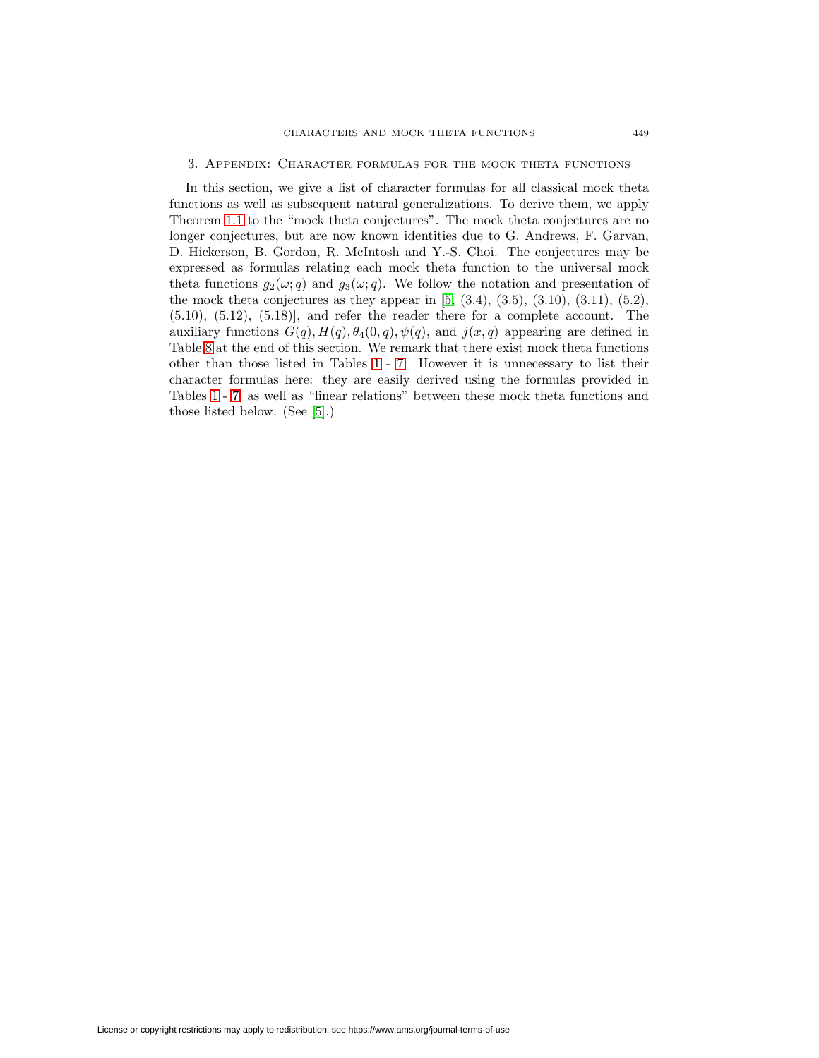### 3. Appendix: Character formulas for the mock theta functions

<span id="page-10-0"></span>In this section, we give a list of character formulas for all classical mock theta functions as well as subsequent natural generalizations. To derive them, we apply Theorem [1.1](#page-2-0) to the "mock theta conjectures". The mock theta conjectures are no longer conjectures, but are now known identities due to G. Andrews, F. Garvan, D. Hickerson, B. Gordon, R. McIntosh and Y.-S. Choi. The conjectures may be expressed as formulas relating each mock theta function to the universal mock theta functions  $g_2(\omega; q)$  and  $g_3(\omega; q)$ . We follow the notation and presentation of the mock theta conjectures as they appear in  $[5, (3.4), (3.5), (3.10), (3.11), (5.2),$  $[5, (3.4), (3.5), (3.10), (3.11), (5.2),$  $(5.10)$ ,  $(5.12)$ ,  $(5.18)$ ], and refer the reader there for a complete account. The auxiliary functions  $G(q)$ ,  $H(q)$ ,  $\theta_4(0, q)$ ,  $\psi(q)$ , and  $j(x, q)$  appearing are defined in Table [8](#page-15-15) at the end of this section. We remark that there exist mock theta functions other than those listed in Tables [1](#page-11-0) - [7.](#page-14-0) However it is unnecessary to list their character formulas here: they are easily derived using the formulas provided in Tables [1](#page-11-0) - [7,](#page-14-0) as well as "linear relations" between these mock theta functions and those listed below. (See [\[5\]](#page-15-11).)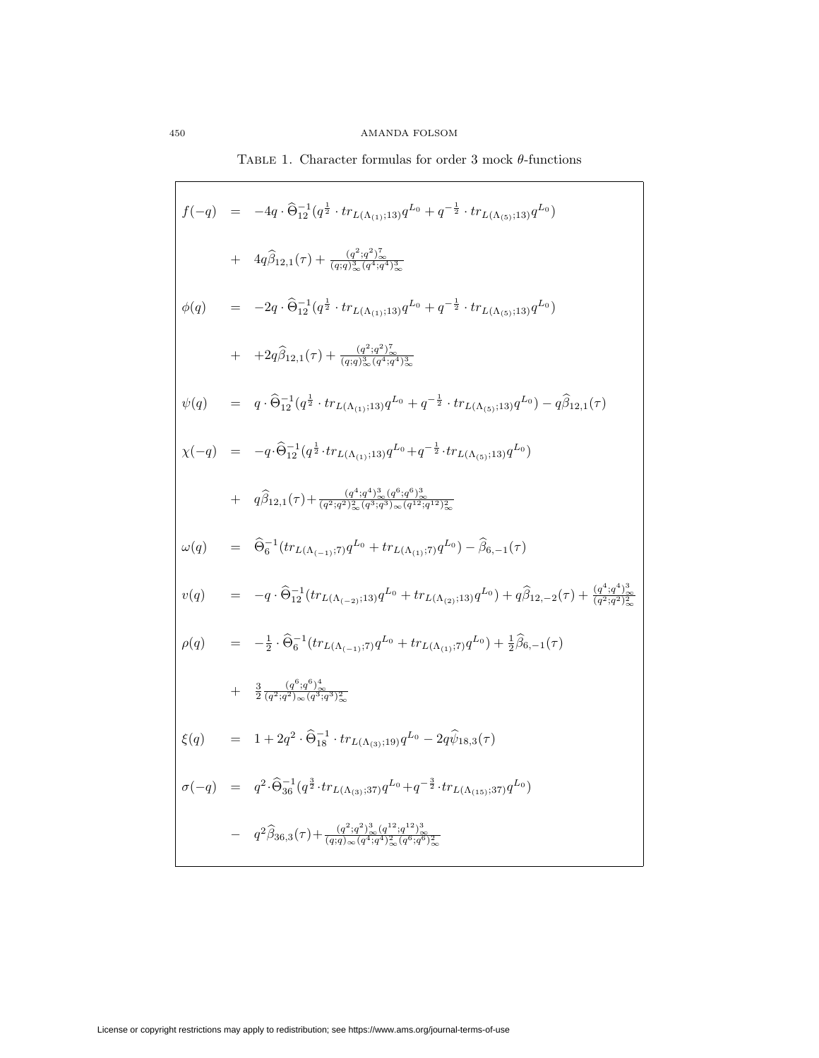<span id="page-11-0"></span>
$$
f(-q) = -4q \cdot \hat{\Theta}_{12}^{-1} (q^{\frac{1}{2}} \cdot tr_{L(\Lambda_{(1)};13)} q^{L_0} + q^{-\frac{1}{2}} \cdot tr_{L(\Lambda_{(5)};13)} q^{L_0})
$$
  
+  $4q\hat{\beta}_{12,1}(\tau) + \frac{(q^2 \cdot q^2)^2}{(q_1 \cdot q^2)^3}.$   

$$
\phi(q) = -2q \cdot \hat{\Theta}_{12}^{-1} (q^{\frac{1}{2}} \cdot tr_{L(\Lambda_{(1)};13)} q^{L_0} + q^{-\frac{1}{2}} \cdot tr_{L(\Lambda_{(5)};13)} q^{L_0})
$$
  
+  $+2q\hat{\beta}_{12,1}(\tau) + \frac{(q^2 \cdot q^2)^2}{(q_1 \cdot q_2)^2}.$   

$$
\psi(q) = q \cdot \hat{\Theta}_{12}^{-1} (q^{\frac{1}{2}} \cdot tr_{L(\Lambda_{(1)};13)} q^{L_0} + q^{-\frac{1}{2}} \cdot tr_{L(\Lambda_{(5)};13)} q^{L_0}) - q\hat{\beta}_{12,1}(\tau)
$$
  

$$
\chi(-q) = -q \cdot \hat{\Theta}_{12}^{-1} (q^{\frac{1}{2}} \cdot tr_{L(\Lambda_{(1)};13)} q^{L_0} + q^{-\frac{1}{2}} \cdot tr_{L(\Lambda_{(5)};13)} q^{L_0}) - q\hat{\beta}_{12,1}(\tau)
$$
  
+  $q\hat{\beta}_{12,1}(\tau) + \frac{(q^4 \cdot q^4)^3}{(q^2 \cdot q^2)^2} (q^4 \cdot q^4)^3 \times (q^{12} \cdot q^{12})^2 \times$   

$$
\omega(q) = \hat{\Theta}_{6}^{-1} (tr_{L(\Lambda_{(-1)};7)} q^{L_0} + tr_{L(\Lambda_{(1)};7)} q^{L_0}) - \hat{\beta}_{6,-1}(\tau)
$$
  

$$
v(q) = -q \cdot \hat{\Theta}_{12}^{-1} (tr_{L(\Lambda_{(-2)};13)} q^{L_0} + tr_{L(\Lambda_{(2)};13)} q^{L_0}) + q\hat{\beta}_{12,-2}(\tau) + \frac{(q^4 \cdot q^4)^3}{(q^2 \cdot q^2)^2} \times
$$
  
<math display="</math>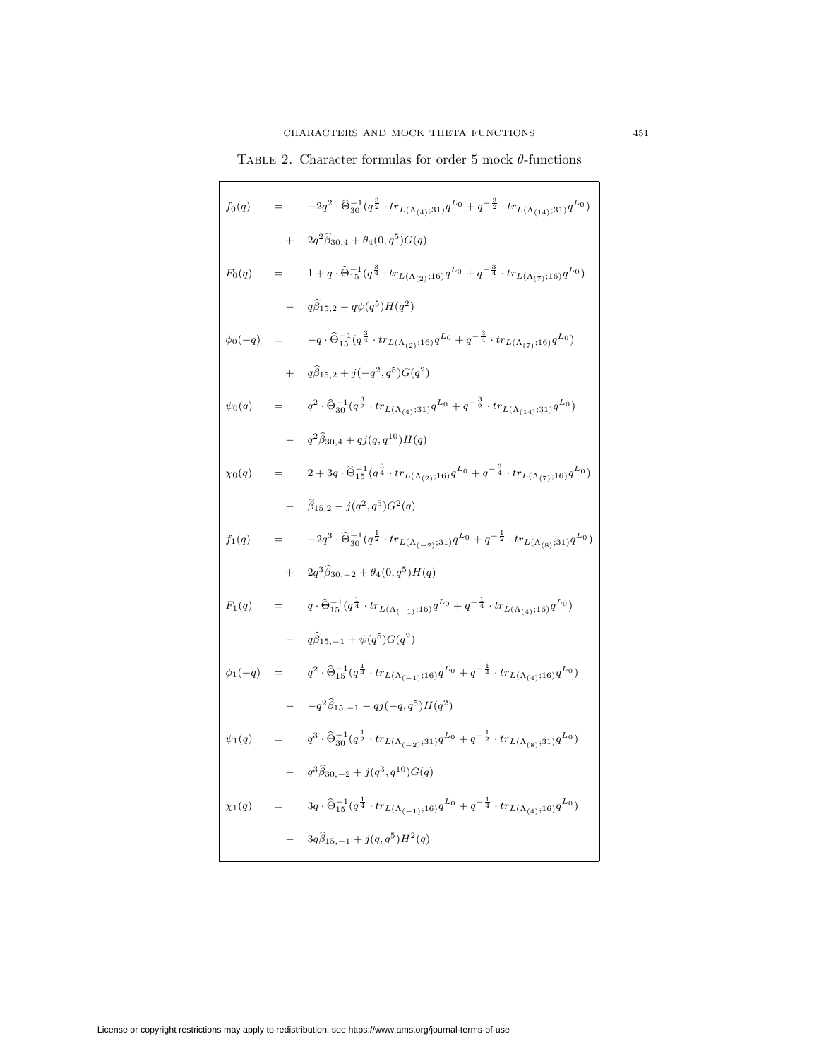TABLE 2. Character formulas for order 5 mock  $\theta$ -functions

| $f_0(q)$       |         | $\hspace*{1.5in} = -2 q^2 \cdot \widehat{\Theta}_{30}^{-1} \big( q^{\frac{3}{2}} \cdot tr_{L(\Lambda_{(4)};31)} q^{L_0} + q^{-\frac{3}{2}} \cdot tr_{L(\Lambda_{(14)};31)} q^{L_0} \big)$ |
|----------------|---------|-------------------------------------------------------------------------------------------------------------------------------------------------------------------------------------------|
|                | $^{+}$  | $2q^2\widehat{\beta}_{30,4}+\theta_4(0,q^5)G(q)$                                                                                                                                          |
| $F_0(q)$       | $=$ $-$ | $1 + q \cdot \widehat{\Theta}^{-1}_{15} ( q^{\frac{3}{4}} \cdot tr_{L(\Lambda_{(2)};16)} q^{L_0} + q^{-\frac{3}{4}} \cdot tr_{L(\Lambda_{(7)};16)} q^{L_0} )$                             |
|                |         | $q\hat{\beta}_{15,2} - q\psi(q^5)H(q^2)$                                                                                                                                                  |
| $\phi_0(-q) =$ |         | $\hspace*{35pt} - q \cdot \widehat{\Theta}_{15}^{-1} ( q^{\frac{3}{4}} \cdot tr_{L(\Lambda_{(2)};16)} q^{L_0} + q^{-\frac{3}{4}} \cdot tr_{L(\Lambda_{(7)};16)} q^{L_0} )$                |
|                | $+$     | $q\hat{\beta}_{15,2}+j(-q^2,q^5)G(q^2)$                                                                                                                                                   |
| $\psi_0(q)$    |         | $q^2\cdot \widehat{\Theta}_{30}^{-1}(q^{\frac{3}{2}} \cdot tr_{L(\Lambda_{(4)};31)}q^{L_0}+q^{-\frac{3}{2}} \cdot tr_{L(\Lambda_{(14)};31)}q^{L_0})$                                      |
|                |         | $q^2\widehat{\beta}_{30,4} + qj(q,q^{10})H(q)$                                                                                                                                            |
| $\chi_0(q)$    |         | $2+3q\cdot\widehat{\Theta}^{-1}_{15}(q^{\frac{3}{4}}\cdot tr_{L(\Lambda_{(2)};16)}q^{L_0}+q^{-\frac{3}{4}}\cdot tr_{L(\Lambda_{(7)};16)}q^{L_0})$                                         |
|                |         | $\hat{\beta}_{15,2} - j(q^2,q^5)G^2(q)$                                                                                                                                                   |
| $f_1(q)$       |         | $-2q^3\cdot \widehat{\Theta}_{30}^{-1}\big(q^{\frac{1}{2}}\cdot tr_{L(\Lambda_{(-2)};31)}q^{L_0}+q^{-\frac{1}{2}}\cdot tr_{L(\Lambda_{(8)};31)}q^{L_0}\big)$                              |
|                | $+$     | $2q^3\widehat{\beta}_{30,-2}+\theta_4(0,q^5)H(q)$                                                                                                                                         |
| $F_1(q)$       | $=$ $-$ | $q\cdot \widehat{\Theta}_{15}^{-1}({q^{\frac{1}{4}}\cdot tr_{L(\Lambda_{(-1)};16)} q^{L_0}}+{q^{-\frac{1}{4}}\cdot tr_{L(\Lambda_{(4)};16)}q^{L_0}})$                                     |
|                |         | $q\hat{\beta}_{15,-1} + \psi(q^5)G(q^2)$                                                                                                                                                  |
| $\phi_1(-q) =$ |         | $q^2\cdot \widehat{\Theta}^{-1}_{15}(q^{\frac{1}{4}} \cdot tr_{L(\Lambda_{(-1)};16)} q^{L_0} + q^{-\frac{1}{4}} \cdot tr_{L(\Lambda_{(4)};16)} q^{L_0})$                                  |
|                |         | $-q^2\hat{\beta}_{15,-1} - qj(-q,q^5)H(q^2)$                                                                                                                                              |
| $\psi_1(q)$    | $=$     | $q^3\cdot \widehat{\Theta}_{30}^{-1}(q^{\frac{1}{2}} \cdot tr_{L(\Lambda_{(-2)};31)}q^{L_0}+q^{-\frac{1}{2}} \cdot tr_{L(\Lambda_{(8)};31)}q^{L_0})$                                      |
|                |         | $q^3 \widehat{\beta}_{30,-2} + j(q^3,q^{10}) G(q)$                                                                                                                                        |
| $\chi_1(q)$    | $=$     | $3q\cdot \widehat{\Theta}^{-1}_{15}\big(q^{\frac{1}{4}}\cdot tr_{L(\Lambda_{(-1)};16)}q^{L_0}+q^{-\frac{1}{4}}\cdot tr_{L(\Lambda_{(4)};16)}q^{L_0}\big)$                                 |
|                |         | $3q\hat{\beta}_{15,-1} + j(q,q^5)H^2(q)$                                                                                                                                                  |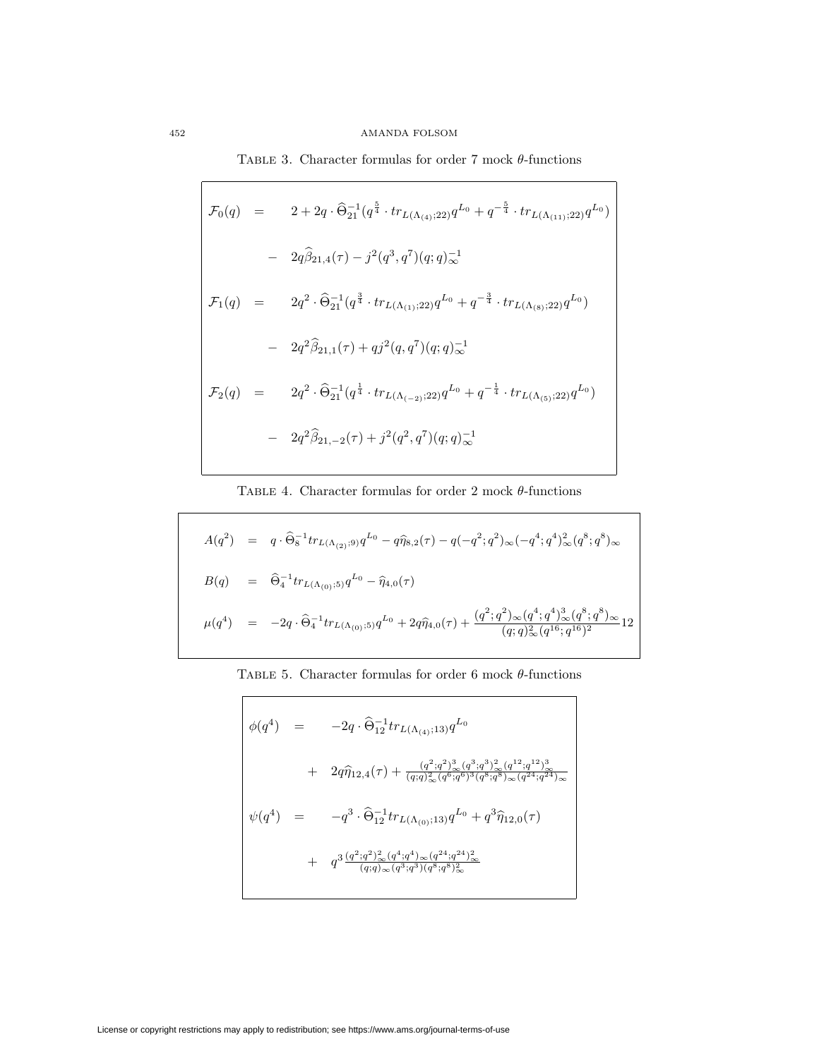# 452 AMANDA FOLSOM

TABLE 3. Character formulas for order 7 mock  $\theta$ -functions

٦

$$
\mathcal{F}_0(q) = 2 + 2q \cdot \hat{\Theta}_{21}^{-1} (q^{\frac{5}{4}} \cdot tr_{L(\Lambda_{(4)};22)} q^{L_0} + q^{-\frac{5}{4}} \cdot tr_{L(\Lambda_{(11)};22)} q^{L_0})
$$
  
\n
$$
- 2q \hat{\beta}_{21,4}(\tau) - j^2 (q^3, q^7) (q;q)_{\infty}^{-1}
$$
  
\n
$$
\mathcal{F}_1(q) = 2q^2 \cdot \hat{\Theta}_{21}^{-1} (q^{\frac{3}{4}} \cdot tr_{L(\Lambda_{(1)};22)} q^{L_0} + q^{-\frac{3}{4}} \cdot tr_{L(\Lambda_{(8)};22)} q^{L_0})
$$
  
\n
$$
- 2q^2 \hat{\beta}_{21,1}(\tau) + qj^2 (q,q^7) (q;q)_{\infty}^{-1}
$$
  
\n
$$
\mathcal{F}_2(q) = 2q^2 \cdot \hat{\Theta}_{21}^{-1} (q^{\frac{1}{4}} \cdot tr_{L(\Lambda_{(-2)};22)} q^{L_0} + q^{-\frac{1}{4}} \cdot tr_{L(\Lambda_{(5)};22)} q^{L_0})
$$
  
\n
$$
- 2q^2 \hat{\beta}_{21,-2}(\tau) + j^2 (q^2, q^7) (q;q)_{\infty}^{-1}
$$

TABLE 4. Character formulas for order 2 mock  $\theta$ -functions

$$
A(q^2) = q \cdot \hat{\Theta}_8^{-1} tr_{L(\Lambda_{(2)};9)} q^{L_0} - q \hat{\eta}_{8,2}(\tau) - q(-q^2; q^2)_{\infty} (-q^4; q^4)_{\infty}^2 (q^8; q^8)_{\infty}
$$
  
\n
$$
B(q) = \hat{\Theta}_4^{-1} tr_{L(\Lambda_{(0)};5)} q^{L_0} - \hat{\eta}_{4,0}(\tau)
$$
  
\n
$$
\mu(q^4) = -2q \cdot \hat{\Theta}_4^{-1} tr_{L(\Lambda_{(0)};5)} q^{L_0} + 2q \hat{\eta}_{4,0}(\tau) + \frac{(q^2; q^2)_{\infty} (q^4; q^4)_{\infty}^3 (q^8; q^8)_{\infty}}{(q;q)_{\infty}^2 (q^{16}; q^{16})^2} 12
$$

| TABLE 5. Character formulas for order 6 mock $\theta$ -functions |
|------------------------------------------------------------------|
|------------------------------------------------------------------|

$$
\begin{array}{rcl}\n\phi(q^4) & = & -2q \cdot \widehat{\Theta}_{12}^{-1} tr_{L(\Lambda_{(4)};13)} q^{L_0} \\
& & + & 2q \widehat{\eta}_{12,4}(\tau) + \frac{(q^2;q^2)^3_{\infty}(q^3;q^3)^2_{\infty}(q^{12};q^{12})^3_{\infty}}{(q;q)^2_{\infty}(q^6;q^6)^3(q^8;q^8)_{\infty}(q^{24};q^{24})_{\infty}} \\
\psi(q^4) & = & -q^3 \cdot \widehat{\Theta}_{12}^{-1} tr_{L(\Lambda_{(0)};13)} q^{L_0} + q^3 \widehat{\eta}_{12,0}(\tau) \\
& & + & q^3 \frac{(q^2;q^2)^2_{\infty}(q^4;q^4)_{\infty}(q^{24};q^{24})^2_{\infty}}{(q;q)_{\infty}(q^3;q^3)(q^8;q^8)^2_{\infty}}\n\end{array}
$$

 $\overline{\Gamma}$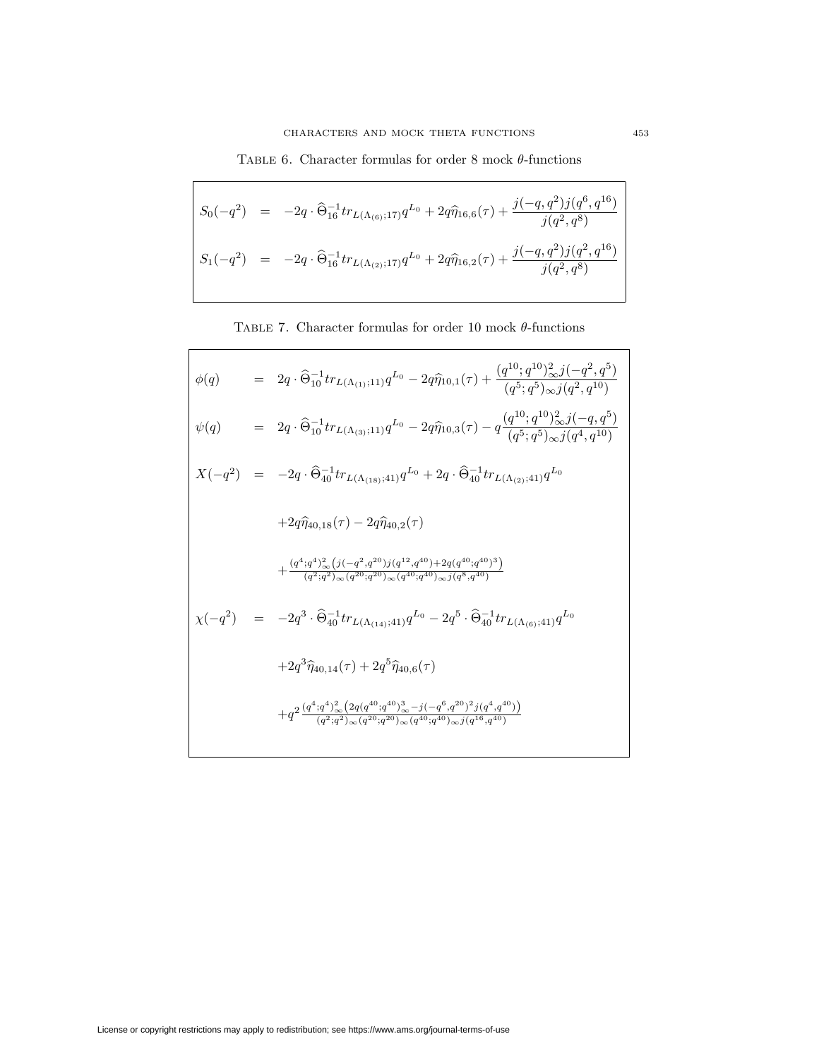TABLE 6. Character formulas for order 8 mock  $\theta$ -functions

 $\mathsf{r}$ 

 $\mathbf{I}$ 

$$
S_0(-q^2) = -2q \cdot \widehat{\Theta}_{16}^{-1} tr_{L(\Lambda_{(6)};17)} q^{L_0} + 2q \widehat{\eta}_{16,6}(\tau) + \frac{j(-q,q^2)j(q^6,q^{16})}{j(q^2,q^8)}
$$
  

$$
S_1(-q^2) = -2q \cdot \widehat{\Theta}_{16}^{-1} tr_{L(\Lambda_{(2)};17)} q^{L_0} + 2q \widehat{\eta}_{16,2}(\tau) + \frac{j(-q,q^2)j(q^2,q^{16})}{j(q^2,q^8)}
$$

TABLE 7. Character formulas for order 10 mock  $\theta$ -functions

<span id="page-14-0"></span>

|  | $\phi(q) = 2q \cdot \widehat{\Theta}_{10}^{-1} tr_{L(\Lambda_{(1)};11)} q^{L_0} - 2q \widehat{\eta}_{10,1}(\tau) + \frac{(q^{10};q^{10})_{\infty}^2 j(-q^2,q^0)}{(q^5;q^5)_{\infty} j(q^2,q^{10})}$              |
|--|------------------------------------------------------------------------------------------------------------------------------------------------------------------------------------------------------------------|
|  | $\psi(q) = 2q \cdot \widehat{\Theta}_{10}^{-1} tr_{L(\Lambda_{(3)};11)} q^{L_0} - 2q \widehat{\eta}_{10,3}(\tau) - q \frac{(q^{10}; q^{10})_{\infty}^2 j(-q, q^0)}{(q^5; q^5)_{\infty} j(q^4, q^{10})}$          |
|  | $X(-q^2) = -2q \cdot \widehat{\Theta}_{40}^{-1} tr_{L(\Lambda_{(18)};41)} q^{L_0} + 2q \cdot \widehat{\Theta}_{40}^{-1} tr_{L(\Lambda_{(2)};41)} q^{L_0}$                                                        |
|  | $+2q\hat{\eta}_{40.18}(\tau)-2q\hat{\eta}_{40.2}(\tau)$                                                                                                                                                          |
|  | $+\frac{(q^4;q^4)_{\infty}^2(j(-q^2,q^{20})j(q^{12},q^{40})+2q(q^{40};q^{40})^2)}{(q^2;q^2)_{12}(q^{20},q^{20})_{12}(q^{40};q^{40})_{22}(q^8,q^{40})}$                                                           |
|  | $\chi(-q^2) = -2q^3 \cdot \widehat{\Theta}_{40}^{-1} tr_{L(\Lambda_{(14)};41)} q^{L_0} - 2q^5 \cdot \widehat{\Theta}_{40}^{-1} tr_{L(\Lambda_{(6)};41)} q^{L_0}$                                                 |
|  | $+2q^{3}\hat{\eta}_{40.14}(\tau)+2q^{5}\hat{\eta}_{40.6}(\tau)$                                                                                                                                                  |
|  | $+q^{2}\frac{(q^{4};q^{4})_{\infty}^{2}(2q(q^{40};q^{40})_{\infty}^{3}-j(-q^{6},q^{20})^{2}j(q^{4},q^{40}))}{(q^{2};q^{2})_{\infty}^{2}(q^{20};q^{20})_{\infty}^{2}(q^{40};q^{40})_{\infty}^{3}(q^{46},q^{40})}$ |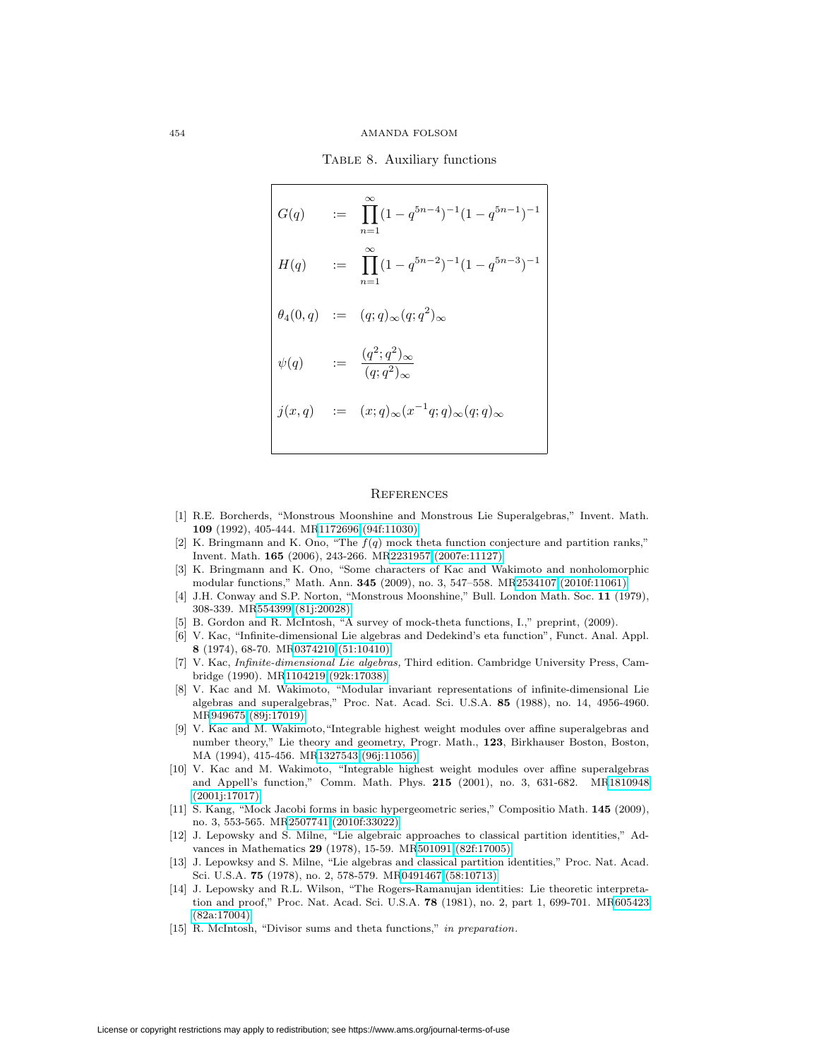Table 8. Auxiliary functions

<span id="page-15-15"></span>
$$
G(q) := \prod_{n=1}^{\infty} (1 - q^{5n-4})^{-1} (1 - q^{5n-1})^{-1}
$$
  
\n
$$
H(q) := \prod_{n=1}^{\infty} (1 - q^{5n-2})^{-1} (1 - q^{5n-3})^{-1}
$$
  
\n
$$
\theta_4(0, q) := (q; q)_{\infty}(q; q^2)_{\infty}
$$
  
\n
$$
\psi(q) := \frac{(q^2; q^2)_{\infty}}{(q; q^2)_{\infty}}
$$
  
\n
$$
j(x, q) := (x; q)_{\infty}(x^{-1}q; q)_{\infty}(q; q)_{\infty}
$$

### **REFERENCES**

- <span id="page-15-1"></span>[1] R.E. Borcherds, "Monstrous Moonshine and Monstrous Lie Superalgebras," Invent. Math. **109** (1992), 405-444. M[R1172696 \(94f:11030\)](http://www.ams.org/mathscinet-getitem?mr=1172696)
- <span id="page-15-13"></span>[2] K. Bringmann and K. Ono, "The  $f(q)$  mock theta function conjecture and partition ranks," Invent. Math. **165** (2006), 243-266. M[R2231957 \(2007e:11127\)](http://www.ams.org/mathscinet-getitem?mr=2231957)
- <span id="page-15-9"></span>[3] K. Bringmann and K. Ono, "Some characters of Kac and Wakimoto and nonholomorphic modular functions," Math. Ann. **345** (2009), no. 3, 547–558. M[R2534107 \(2010f:11061\)](http://www.ams.org/mathscinet-getitem?mr=2534107)
- <span id="page-15-11"></span><span id="page-15-0"></span>[4] J.H. Conway and S.P. Norton, "Monstrous Moonshine," Bull. London Math. Soc. **11** (1979), 308-339. M[R554399 \(81j:20028\)](http://www.ams.org/mathscinet-getitem?mr=554399)
- <span id="page-15-2"></span>[5] B. Gordon and R. McIntosh, "A survey of mock-theta functions, I.," preprint, (2009).
- [6] V. Kac, "Infinite-dimensional Lie algebras and Dedekind's eta function", Funct. Anal. Appl. **8** (1974), 68-70. M[R0374210 \(51:10410\)](http://www.ams.org/mathscinet-getitem?mr=0374210)
- <span id="page-15-6"></span>[7] V. Kac, Infinite-dimensional Lie algebras, Third edition. Cambridge University Press, Cambridge (1990). M[R1104219 \(92k:17038\)](http://www.ams.org/mathscinet-getitem?mr=1104219)
- <span id="page-15-10"></span>[8] V. Kac and M. Wakimoto, "Modular invariant representations of infinite-dimensional Lie algebras and superalgebras," Proc. Nat. Acad. Sci. U.S.A. **85** (1988), no. 14, 4956-4960. M[R949675 \(89j:17019\)](http://www.ams.org/mathscinet-getitem?mr=949675)
- <span id="page-15-7"></span>[9] V. Kac and M. Wakimoto,"Integrable highest weight modules over affine superalgebras and number theory," Lie theory and geometry, Progr. Math., **123**, Birkhauser Boston, Boston, MA (1994), 415-456. M[R1327543 \(96j:11056\)](http://www.ams.org/mathscinet-getitem?mr=1327543)
- <span id="page-15-8"></span>[10] V. Kac and M. Wakimoto, "Integrable highest weight modules over affine superalgebras and Appell's function," Comm. Math. Phys. **215** (2001), no. 3, 631-682. M[R1810948](http://www.ams.org/mathscinet-getitem?mr=1810948) [\(2001j:17017\)](http://www.ams.org/mathscinet-getitem?mr=1810948)
- <span id="page-15-12"></span>[11] S. Kang, "Mock Jacobi forms in basic hypergeometric series," Compositio Math. **145** (2009), no. 3, 553-565. M[R2507741 \(2010f:33022\)](http://www.ams.org/mathscinet-getitem?mr=2507741)
- <span id="page-15-3"></span>[12] J. Lepowsky and S. Milne, "Lie algebraic approaches to classical partition identities," Advances in Mathematics **29** (1978), 15-59. M[R501091 \(82f:17005\)](http://www.ams.org/mathscinet-getitem?mr=501091)
- <span id="page-15-4"></span>[13] J. Lepowksy and S. Milne, "Lie algebras and classical partition identities," Proc. Nat. Acad. Sci. U.S.A. **75** (1978), no. 2, 578-579. M[R0491467 \(58:10713\)](http://www.ams.org/mathscinet-getitem?mr=0491467)
- <span id="page-15-5"></span>[14] J. Lepowsky and R.L. Wilson, "The Rogers-Ramanujan identities: Lie theoretic interpretation and proof," Proc. Nat. Acad. Sci. U.S.A. **78** (1981), no. 2, part 1, 699-701. M[R605423](http://www.ams.org/mathscinet-getitem?mr=605423) [\(82a:17004\)](http://www.ams.org/mathscinet-getitem?mr=605423)
- <span id="page-15-14"></span>[15] R. McIntosh, "Divisor sums and theta functions," in preparation.